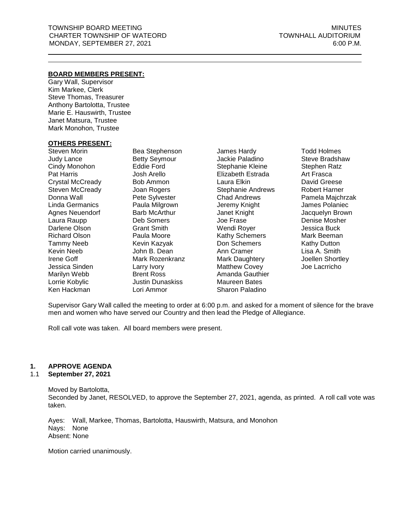## **BOARD MEMBERS PRESENT:**

Gary Wall, Supervisor Kim Markee, Clerk Steve Thomas, Treasurer Anthony Bartolotta, Trustee Marie E. Hauswirth, Trustee Janet Matsura, Trustee Mark Monohon, Trustee

## **OTHERS PRESENT:**

Steven Morin Judy Lance Cindy Monohon Pat Harris Crystal McCready Steven McCready Donna Wall Linda Germanics Agnes Neuendorf Laura Raupp Darlene Olson Richard Olson Tammy Neeb Kevin Neeb Irene Goff Jessica Sinden Marilyn Webb Lorrie Kobylic Ken Hackman

Bea Stephenson Betty Seymour Eddie Ford Josh Arello Bob Ammon Joan Rogers Pete Sylvester Paula Milgrown Barb McArthur Deb Somers Grant Smith Paula Moore Kevin Kazyak John B. Dean Mark Rozenkranz Larry Ivory Brent Ross Justin Dunaskiss Lori Ammor

James Hardy Jackie Paladino Stephanie Kleine Elizabeth Estrada Laura Elkin Stephanie Andrews Chad Andrews Jeremy Knight Janet Knight Joe Frase Wendi Royer Kathy Schemers Don Schemers Ann Cramer Mark Daughtery Matthew Covey Amanda Gauthier Maureen Bates Sharon Paladino

Todd Holmes Steve Bradshaw Stephen Ratz Art Frasca David Greese Robert Harner Pamela Majchrzak James Polaniec Jacquelyn Brown Denise Mosher Jessica Buck Mark Beeman Kathy Dutton Lisa A. Smith Joellen Shortley Joe Lacrricho

Supervisor Gary Wall called the meeting to order at 6:00 p.m. and asked for a moment of silence for the brave men and women who have served our Country and then lead the Pledge of Allegiance.

Roll call vote was taken. All board members were present.

## **1. APPROVE AGENDA**

## 1.1 **September 27, 2021**

Moved by Bartolotta, Seconded by Janet, RESOLVED, to approve the September 27, 2021, agenda, as printed. A roll call vote was taken.

Ayes: Wall, Markee, Thomas, Bartolotta, Hauswirth, Matsura, and Monohon Nays: None Absent: None

Motion carried unanimously.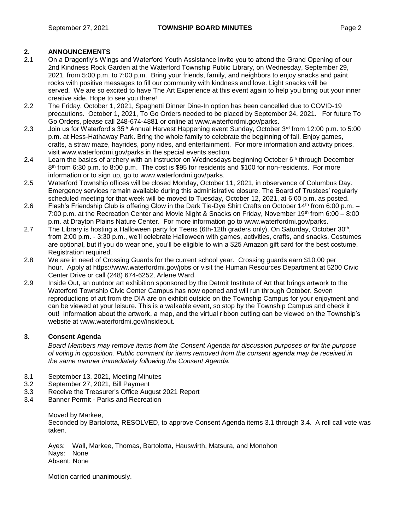## **2. ANNOUNCEMENTS**

- 2.1 On a Dragonfly's Wings and Waterford Youth Assistance invite you to attend the Grand Opening of our 2nd Kindness Rock Garden at the Waterford Township Public Library, on Wednesday, September 29, 2021, from 5:00 p.m. to 7:00 p.m. Bring your friends, family, and neighbors to enjoy snacks and paint rocks with positive messages to fill our community with kindness and love. Light snacks will be served. We are so excited to have The Art Experience at this event again to help you bring out your inner creative side. Hope to see you there!
- 2.2 The Friday, October 1, 2021, Spaghetti Dinner Dine-In option has been cancelled due to COVID-19 precautions. October 1, 2021, To Go Orders needed to be placed by September 24, 2021. For future To Go Orders, please call 248-674-4881 or online at [www.waterfordmi.gov/parks.](http://www.waterfordmi.gov/parks)
- 2.3 Join us for Waterford's 35th Annual Harvest Happening event Sunday, October 3rd from 12:00 p.m. to 5:00 p.m. at Hess-Hathaway Park. Bring the whole family to celebrate the beginning of fall. Enjoy games, crafts, a straw maze, hayrides, pony rides, and entertainment. For more information and activity prices, visit www.waterfordmi.gov/parks in the special events section.
- 2.4 Learn the basics of archery with an instructor on Wednesdays beginning October 6<sup>th</sup> through December 8<sup>th</sup> from 6:30 p.m. to 8:00 p.m. The cost is \$95 for residents and \$100 for non-residents. For more information or to sign up, go to [www.waterfordmi.gov/parks.](http://www.waterfordmi.gov/parks)
- 2.5 Waterford Township offices will be closed Monday, October 11, 2021, in observance of Columbus Day. Emergency services remain available during this administrative closure. The Board of Trustees' regularly scheduled meeting for that week will be moved to Tuesday, October 12, 2021, at 6:00 p.m. as posted.
- 2.6 Flash's Friendship Club is offering Glow in the Dark Tie-Dye Shirt Crafts on October 14<sup>th</sup> from 6:00 p.m. 7:00 p.m. at the Recreation Center and Movie Night & Snacks on Friday, November 19th from 6:00 – 8:00 p.m. at Drayton Plains Nature Center. For more information go to [www.waterfordmi.gov/parks.](http://www.waterfordmi.gov/parks)
- 2.7 The Library is hosting a Halloween party for Teens (6th-12th graders only). On Saturday, October 30<sup>th</sup>, from 2:00 p.m. - 3:30 p.m., we'll celebrate Halloween with games, activities, crafts, and snacks. Costumes are optional, but if you do wear one, you'll be eligible to win a \$25 Amazon gift card for the best costume. Registration required.
- 2.8 We are in need of Crossing Guards for the current school year. Crossing guards earn \$10.00 per hour. Apply at https://www.waterfordmi.gov/jobs or visit the Human Resources Department at 5200 Civic Center Drive or call (248) 674-6252, Arlene Ward.
- 2.9 Inside Out, an outdoor art exhibition sponsored by the Detroit Institute of Art that brings artwork to the Waterford Township Civic Center Campus has now opened and will run through October. Seven reproductions of art from the DIA are on exhibit outside on the Township Campus for your enjoyment and can be viewed at your leisure. This is a walkable event, so stop by the Township Campus and check it out! Information about the artwork, a map, and the virtual ribbon cutting can be viewed on the Township's website at www.waterfordmi.gov/insideout.

## **3. Consent Agenda**

*Board Members may remove items from the Consent Agenda for discussion purposes or for the purpose of voting in opposition. Public comment for items removed from the consent agenda may be received in the same manner immediately following the Consent Agenda.*

- 3.1 September 13, 2021, Meeting Minutes
- 3.2 September 27, 2021, Bill Payment
- 3.3 Receive the Treasurer's Office August 2021 Report
- 3.4 Banner Permit Parks and Recreation

## Moved by Markee, Seconded by Bartolotta, RESOLVED, to approve Consent Agenda items 3.1 through 3.4. A roll call vote was taken.

Ayes: Wall, Markee, Thomas, Bartolotta, Hauswirth, Matsura, and Monohon Nays: None Absent: None

Motion carried unanimously.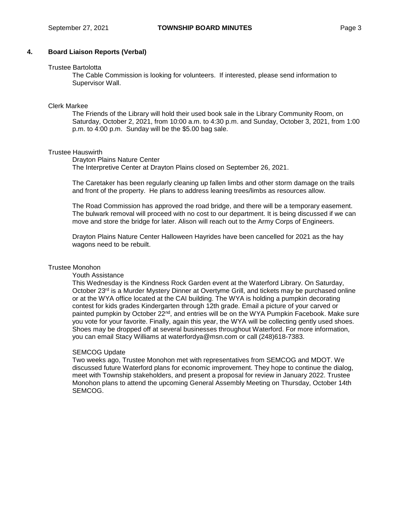## **4. Board Liaison Reports (Verbal)**

#### Trustee Bartolotta

The Cable Commission is looking for volunteers. If interested, please send information to Supervisor Wall.

#### Clerk Markee

The Friends of the Library will hold their used book sale in the Library Community Room, on Saturday, October 2, 2021, from 10:00 a.m. to 4:30 p.m. and Sunday, October 3, 2021, from 1:00 p.m. to 4:00 p.m. Sunday will be the \$5.00 bag sale.

## Trustee Hauswirth

Drayton Plains Nature Center

The Interpretive Center at Drayton Plains closed on September 26, 2021.

The Caretaker has been regularly cleaning up fallen limbs and other storm damage on the trails and front of the property. He plans to address leaning trees/limbs as resources allow.

The Road Commission has approved the road bridge, and there will be a temporary easement. The bulwark removal will proceed with no cost to our department. It is being discussed if we can move and store the bridge for later. Alison will reach out to the Army Corps of Engineers.

Drayton Plains Nature Center Halloween Hayrides have been cancelled for 2021 as the hay wagons need to be rebuilt.

## Trustee Monohon

#### Youth Assistance

This Wednesday is the Kindness Rock Garden event at the Waterford Library. On Saturday, October 23<sup>rd</sup> is a Murder Mystery Dinner at Overtyme Grill, and tickets may be purchased online or at the WYA office located at the CAI building. The WYA is holding a pumpkin decorating contest for kids grades Kindergarten through 12th grade. Email a picture of your carved or painted pumpkin by October 22<sup>nd</sup>, and entries will be on the WYA Pumpkin Facebook. Make sure you vote for your favorite. Finally, again this year, the WYA will be collecting gently used shoes. Shoes may be dropped off at several businesses throughout Waterford. For more information, you can email Stacy Williams at [waterfordya@msn.com](mailto:waterfordya@msn.com) or call (248)618-7383.

#### SEMCOG Update

Two weeks ago, Trustee Monohon met with representatives from SEMCOG and MDOT. We discussed future Waterford plans for economic improvement. They hope to continue the dialog, meet with Township stakeholders, and present a proposal for review in January 2022. Trustee Monohon plans to attend the upcoming General Assembly Meeting on Thursday, October 14th SEMCOG.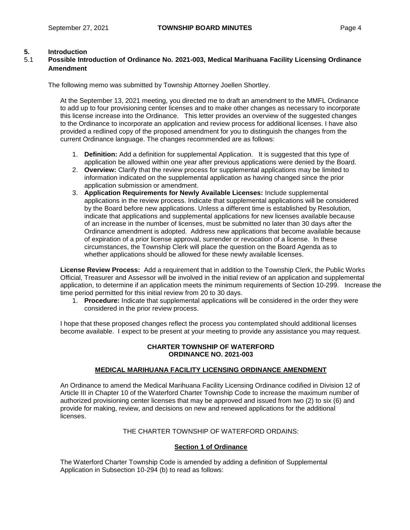## **5. Introduction**

## 5.1 **Possible Introduction of Ordinance No. 2021-003, Medical Marihuana Facility Licensing Ordinance Amendment**

The following memo was submitted by Township Attorney Joellen Shortley.

At the September 13, 2021 meeting, you directed me to draft an amendment to the MMFL Ordinance to add up to four provisioning center licenses and to make other changes as necessary to incorporate this license increase into the Ordinance. This letter provides an overview of the suggested changes to the Ordinance to incorporate an application and review process for additional licenses. I have also provided a redlined copy of the proposed amendment for you to distinguish the changes from the current Ordinance language. The changes recommended are as follows:

- 1. **Definition:** Add a definition for supplemental Application. It is suggested that this type of application be allowed within one year after previous applications were denied by the Board.
- 2. **Overview:** Clarify that the review process for supplemental applications may be limited to information indicated on the supplemental application as having changed since the prior application submission or amendment.
- 3. **Application Requirements for Newly Available Licenses:** Include supplemental applications in the review process. Indicate that supplemental applications will be considered by the Board before new applications. Unless a different time is established by Resolution, indicate that applications and supplemental applications for new licenses available because of an increase in the number of licenses, must be submitted no later than 30 days after the Ordinance amendment is adopted. Address new applications that become available because of expiration of a prior license approval, surrender or revocation of a license. In these circumstances, the Township Clerk will place the question on the Board Agenda as to whether applications should be allowed for these newly available licenses.

**License Review Process:** Add a requirement that in addition to the Township Clerk, the Public Works Official, Treasurer and Assessor will be involved in the initial review of an application and supplemental application, to determine if an application meets the minimum requirements of Section 10-299. Increase the time period permitted for this initial review from 20 to 30 days.

1. **Procedure:** Indicate that supplemental applications will be considered in the order they were considered in the prior review process.

I hope that these proposed changes reflect the process you contemplated should additional licenses become available. I expect to be present at your meeting to provide any assistance you may request.

## **CHARTER TOWNSHIP OF WATERFORD ORDINANCE NO. 2021-003**

## **MEDICAL MARIHUANA FACILITY LICENSING ORDINANCE AMENDMENT**

An Ordinance to amend the Medical Marihuana Facility Licensing Ordinance codified in Division 12 of Article III in Chapter 10 of the Waterford Charter Township Code to increase the maximum number of authorized provisioning center licenses that may be approved and issued from two (2) to six (6) and provide for making, review, and decisions on new and renewed applications for the additional licenses.

## THE CHARTER TOWNSHIP OF WATERFORD ORDAINS:

## **Section 1 of Ordinance**

The Waterford Charter Township Code is amended by adding a definition of Supplemental Application in Subsection 10-294 (b) to read as follows: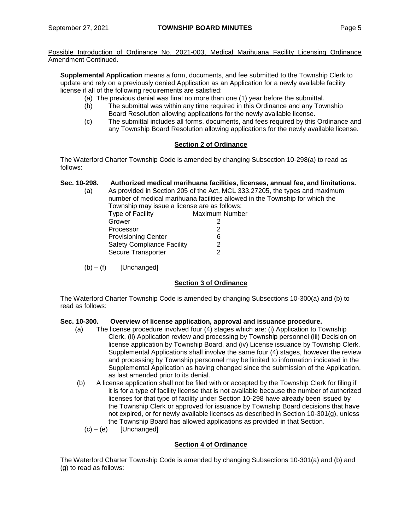**Supplemental Application** means a form, documents, and fee submitted to the Township Clerk to update and rely on a previously denied Application as an Application for a newly available facility license if all of the following requirements are satisfied:

- (a) The previous denial was final no more than one (1) year before the submittal.
- (b) The submittal was within any time required in this Ordinance and any Township Board Resolution allowing applications for the newly available license.
- (c) The submittal includes all forms, documents, and fees required by this Ordinance and any Township Board Resolution allowing applications for the newly available license.

## **Section 2 of Ordinance**

The Waterford Charter Township Code is amended by changing Subsection 10-298(a) to read as follows:

# **Sec. 10-298. Authorized medical marihuana facilities, licenses, annual fee, and limitations.**

(a) As provided in Section 205 of the Act, MCL 333.27205, the types and maximum number of medical marihuana facilities allowed in the Township for which the Township may issue a license are as follows: Maximum Number

| <b>I</b> ype or I admiy           | IVIQAIITUITI TYYITI |
|-----------------------------------|---------------------|
| Grower                            |                     |
| Processor                         | 2                   |
| <b>Provisioning Center</b>        | ห                   |
| <b>Safety Compliance Facility</b> |                     |
| Secure Transporter                |                     |

 $(b) - (f)$  [Unchanged]

# **Section 3 of Ordinance**

The Waterford Charter Township Code is amended by changing Subsections 10-300(a) and (b) to read as follows:

## **Sec. 10-300. Overview of license application, approval and issuance procedure.**

- (a) The license procedure involved four (4) stages which are: (i) Application to Township Clerk, (ii) Application review and processing by Township personnel (iii) Decision on license application by Township Board, and (iv) License issuance by Township Clerk. Supplemental Applications shall involve the same four (4) stages, however the review and processing by Township personnel may be limited to information indicated in the Supplemental Application as having changed since the submission of the Application, as last amended prior to its denial.
- (b) A license application shall not be filed with or accepted by the Township Clerk for filing if it is for a type of facility license that is not available because the number of authorized licenses for that type of facility under Section 10-298 have already been issued by the Township Clerk or approved for issuance by Township Board decisions that have not expired, or for newly available licenses as described in Section 10-301(g), unless the Township Board has allowed applications as provided in that Section.
	- $(c) (e)$  [Unchanged]

## **Section 4 of Ordinance**

The Waterford Charter Township Code is amended by changing Subsections 10-301(a) and (b) and (g) to read as follows: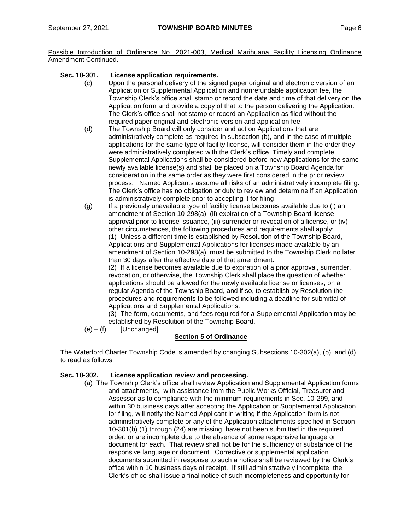## **Sec. 10-301. License application requirements.**

- (c) Upon the personal delivery of the signed paper original and electronic version of an Application or Supplemental Application and nonrefundable application fee, the Township Clerk's office shall stamp or record the date and time of that delivery on the Application form and provide a copy of that to the person delivering the Application. The Clerk's office shall not stamp or record an Application as filed without the required paper original and electronic version and application fee.
- (d) The Township Board will only consider and act on Applications that are administratively complete as required in subsection (b), and in the case of multiple applications for the same type of facility license, will consider them in the order they were administratively completed with the Clerk's office. Timely and complete Supplemental Applications shall be considered before new Applications for the same newly available license(s) and shall be placed on a Township Board Agenda for consideration in the same order as they were first considered in the prior review process. Named Applicants assume all risks of an administratively incomplete filing. The Clerk's office has no obligation or duty to review and determine if an Application is administratively complete prior to accepting it for filing.
- (g) If a previously unavailable type of facility license becomes available due to (i) an amendment of Section 10-298(a), (ii) expiration of a Township Board license approval prior to license issuance, (iii) surrender or revocation of a license, or (iv) other circumstances, the following procedures and requirements shall apply: (1) Unless a different time is established by Resolution of the Township Board,

Applications and Supplemental Applications for licenses made available by an amendment of Section 10-298(a), must be submitted to the Township Clerk no later than 30 days after the effective date of that amendment.

(2) If a license becomes available due to expiration of a prior approval, surrender, revocation, or otherwise, the Township Clerk shall place the question of whether applications should be allowed for the newly available license or licenses, on a regular Agenda of the Township Board, and if so, to establish by Resolution the procedures and requirements to be followed including a deadline for submittal of Applications and Supplemental Applications.

(3) The form, documents, and fees required for a Supplemental Application may be established by Resolution of the Township Board.

 $(e) - (f)$  [Unchanged]

## **Section 5 of Ordinance**

The Waterford Charter Township Code is amended by changing Subsections 10-302(a), (b), and (d) to read as follows:

## **Sec. 10-302. License application review and processing.**

(a) The Township Clerk's office shall review Application and Supplemental Application forms and attachments, with assistance from the Public Works Official, Treasurer and Assessor as to compliance with the minimum requirements in Sec. 10-299, and within 30 business days after accepting the Application or Supplemental Application for filing, will notify the Named Applicant in writing if the Application form is not administratively complete or any of the Application attachments specified in Section 10-301(b) (1) through (24) are missing, have not been submitted in the required order, or are incomplete due to the absence of some responsive language or document for each. That review shall not be for the sufficiency or substance of the responsive language or document. Corrective or supplemental application documents submitted in response to such a notice shall be reviewed by the Clerk's office within 10 business days of receipt. If still administratively incomplete, the Clerk's office shall issue a final notice of such incompleteness and opportunity for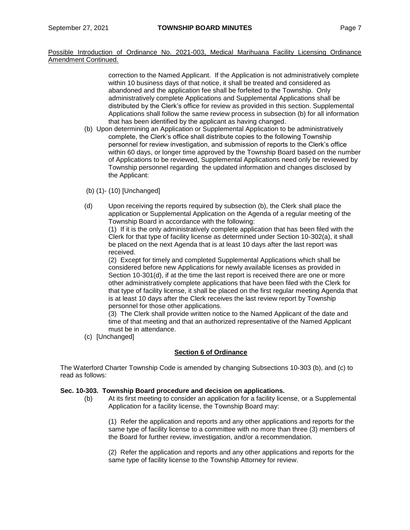> correction to the Named Applicant. If the Application is not administratively complete within 10 business days of that notice, it shall be treated and considered as abandoned and the application fee shall be forfeited to the Township. Only administratively complete Applications and Supplemental Applications shall be distributed by the Clerk's office for review as provided in this section. Supplemental Applications shall follow the same review process in subsection (b) for all information that has been identified by the applicant as having changed.

- (b) Upon determining an Application or Supplemental Application to be administratively complete, the Clerk's office shall distribute copies to the following Township personnel for review investigation, and submission of reports to the Clerk's office within 60 days, or longer time approved by the Township Board based on the number of Applications to be reviewed, Supplemental Applications need only be reviewed by Township personnel regarding the updated information and changes disclosed by the Applicant:
- (b) (1)- (10) [Unchanged]
- (d) Upon receiving the reports required by subsection (b), the Clerk shall place the application or Supplemental Application on the Agenda of a regular meeting of the Township Board in accordance with the following:

(1) If it is the only administratively complete application that has been filed with the Clerk for that type of facility license as determined under Section 10-302(a), it shall be placed on the next Agenda that is at least 10 days after the last report was received.

(2) Except for timely and completed Supplemental Applications which shall be considered before new Applications for newly available licenses as provided in Section 10-301(d), if at the time the last report is received there are one or more other administratively complete applications that have been filed with the Clerk for that type of facility license, it shall be placed on the first regular meeting Agenda that is at least 10 days after the Clerk receives the last review report by Township personnel for those other applications.

(3) The Clerk shall provide written notice to the Named Applicant of the date and time of that meeting and that an authorized representative of the Named Applicant must be in attendance.

(c) [Unchanged]

## **Section 6 of Ordinance**

The Waterford Charter Township Code is amended by changing Subsections 10-303 (b), and (c) to read as follows:

## **Sec. 10-303. Township Board procedure and decision on applications.**

(b) At its first meeting to consider an application for a facility license, or a Supplemental Application for a facility license, the Township Board may:

(1) Refer the application and reports and any other applications and reports for the same type of facility license to a committee with no more than three (3) members of the Board for further review, investigation, and/or a recommendation.

(2) Refer the application and reports and any other applications and reports for the same type of facility license to the Township Attorney for review.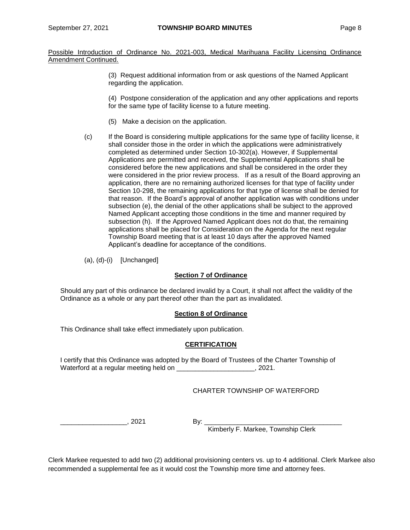> (3) Request additional information from or ask questions of the Named Applicant regarding the application.

(4) Postpone consideration of the application and any other applications and reports for the same type of facility license to a future meeting.

- (5) Make a decision on the application.
- (c) If the Board is considering multiple applications for the same type of facility license, it shall consider those in the order in which the applications were administratively completed as determined under Section 10-302(a). However, if Supplemental Applications are permitted and received, the Supplemental Applications shall be considered before the new applications and shall be considered in the order they were considered in the prior review process. If as a result of the Board approving an application, there are no remaining authorized licenses for that type of facility under Section 10-298, the remaining applications for that type of license shall be denied for that reason. If the Board's approval of another application was with conditions under subsection (e), the denial of the other applications shall be subject to the approved Named Applicant accepting those conditions in the time and manner required by subsection (h). If the Approved Named Applicant does not do that, the remaining applications shall be placed for Consideration on the Agenda for the next regular Township Board meeting that is at least 10 days after the approved Named Applicant's deadline for acceptance of the conditions.
- (a), (d)-(i) [Unchanged]

## **Section 7 of Ordinance**

Should any part of this ordinance be declared invalid by a Court, it shall not affect the validity of the Ordinance as a whole or any part thereof other than the part as invalidated.

## **Section 8 of Ordinance**

This Ordinance shall take effect immediately upon publication.

## **CERTIFICATION**

I certify that this Ordinance was adopted by the Board of Trustees of the Charter Township of Waterford at a regular meeting held on \_\_\_\_\_\_\_\_\_\_\_\_\_\_\_\_\_\_\_\_\_, 2021.

## CHARTER TOWNSHIP OF WATERFORD

\_\_\_\_\_\_\_\_\_\_\_\_\_\_\_\_\_\_, 2021 By: \_\_\_\_\_\_\_\_\_\_\_\_\_\_\_\_\_\_\_\_\_\_\_\_\_\_\_\_\_\_\_\_\_\_\_\_\_

Kimberly F. Markee, Township Clerk

Clerk Markee requested to add two (2) additional provisioning centers vs. up to 4 additional. Clerk Markee also recommended a supplemental fee as it would cost the Township more time and attorney fees.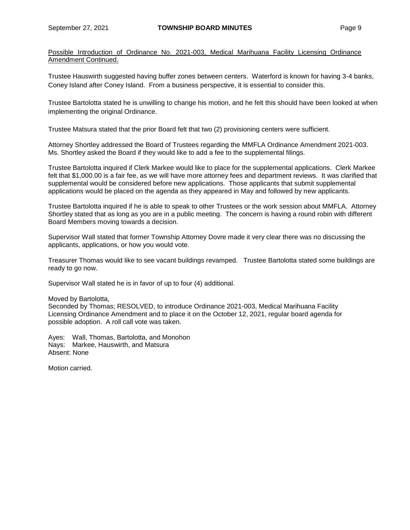Trustee Hauswirth suggested having buffer zones between centers. Waterford is known for having 3-4 banks, Coney Island after Coney Island. From a business perspective, it is essential to consider this.

Trustee Bartolotta stated he is unwilling to change his motion, and he felt this should have been looked at when implementing the original Ordinance.

Trustee Matsura stated that the prior Board felt that two (2) provisioning centers were sufficient.

Attorney Shortley addressed the Board of Trustees regarding the MMFLA Ordinance Amendment 2021-003. Ms. Shortley asked the Board if they would like to add a fee to the supplemental filings.

Trustee Bartolotta inquired if Clerk Markee would like to place for the supplemental applications. Clerk Markee felt that \$1,000.00 is a fair fee, as we will have more attorney fees and department reviews. It was clarified that supplemental would be considered before new applications. Those applicants that submit supplemental applications would be placed on the agenda as they appeared in May and followed by new applicants.

Trustee Bartolotta inquired if he is able to speak to other Trustees or the work session about MMFLA. Attorney Shortley stated that as long as you are in a public meeting. The concern is having a round robin with different Board Members moving towards a decision.

Supervisor Wall stated that former Township Attorney Dovre made it very clear there was no discussing the applicants, applications, or how you would vote.

Treasurer Thomas would like to see vacant buildings revamped. Trustee Bartolotta stated some buildings are ready to go now.

Supervisor Wall stated he is in favor of up to four (4) additional.

Moved by Bartolotta,

Seconded by Thomas; RESOLVED, to introduce Ordinance 2021-003, Medical Marihuana Facility Licensing Ordinance Amendment and to place it on the October 12, 2021, regular board agenda for possible adoption. A roll call vote was taken.

Ayes: Wall, Thomas, Bartolotta, and Monohon Nays: Markee, Hauswirth, and Matsura Absent: None

Motion carried.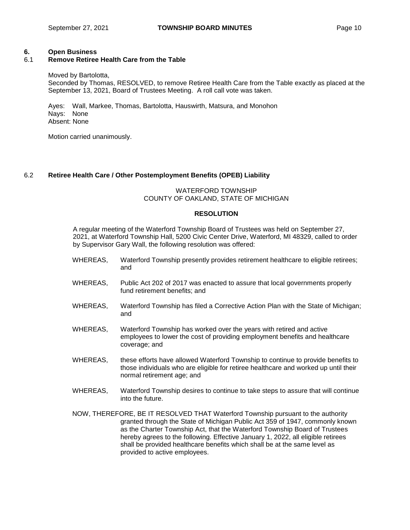## **6. Open Business**

# 6.1 **Remove Retiree Health Care from the Table**

Moved by Bartolotta,

Seconded by Thomas, RESOLVED, to remove Retiree Health Care from the Table exactly as placed at the September 13, 2021, Board of Trustees Meeting. A roll call vote was taken.

Ayes: Wall, Markee, Thomas, Bartolotta, Hauswirth, Matsura, and Monohon Nays: None Absent: None

Motion carried unanimously.

## 6.2 **Retiree Health Care / Other Postemployment Benefits (OPEB) Liability**

## WATERFORD TOWNSHIP COUNTY OF OAKLAND, STATE OF MICHIGAN

## **RESOLUTION**

A regular meeting of the Waterford Township Board of Trustees was held on September 27, 2021, at Waterford Township Hall, 5200 Civic Center Drive, Waterford, MI 48329, called to order by Supervisor Gary Wall, the following resolution was offered:

- WHEREAS, Waterford Township presently provides retirement healthcare to eligible retirees; and
- WHEREAS, Public Act 202 of 2017 was enacted to assure that local governments properly fund retirement benefits; and
- WHEREAS, Waterford Township has filed a Corrective Action Plan with the State of Michigan; and
- WHEREAS, Waterford Township has worked over the years with retired and active employees to lower the cost of providing employment benefits and healthcare coverage; and
- WHEREAS, these efforts have allowed Waterford Township to continue to provide benefits to those individuals who are eligible for retiree healthcare and worked up until their normal retirement age; and
- WHEREAS, Waterford Township desires to continue to take steps to assure that will continue into the future.
- NOW, THEREFORE, BE IT RESOLVED THAT Waterford Township pursuant to the authority granted through the State of Michigan Public Act 359 of 1947, commonly known as the Charter Township Act, that the Waterford Township Board of Trustees hereby agrees to the following. Effective January 1, 2022, all eligible retirees shall be provided healthcare benefits which shall be at the same level as provided to active employees.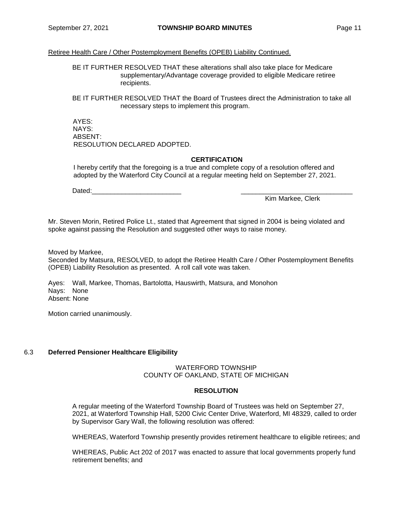Retiree Health Care / Other Postemployment Benefits (OPEB) Liability Continued.

BE IT FURTHER RESOLVED THAT these alterations shall also take place for Medicare supplementary/Advantage coverage provided to eligible Medicare retiree recipients.

BE IT FURTHER RESOLVED THAT the Board of Trustees direct the Administration to take all necessary steps to implement this program.

AYES: NAYS: ABSENT: RESOLUTION DECLARED ADOPTED.

#### **CERTIFICATION**

I hereby certify that the foregoing is a true and complete copy of a resolution offered and adopted by the Waterford City Council at a regular meeting held on September 27, 2021.

Dated:\_\_\_\_\_\_\_\_\_\_\_\_\_\_\_\_\_\_\_\_\_\_\_\_ \_\_\_\_\_\_\_\_\_\_\_\_\_\_\_\_\_\_\_\_\_\_\_\_\_\_\_\_\_\_

Kim Markee, Clerk

Mr. Steven Morin, Retired Police Lt., stated that Agreement that signed in 2004 is being violated and spoke against passing the Resolution and suggested other ways to raise money.

Moved by Markee,

Seconded by Matsura, RESOLVED, to adopt the Retiree Health Care / Other Postemployment Benefits (OPEB) Liability Resolution as presented. A roll call vote was taken.

Ayes: Wall, Markee, Thomas, Bartolotta, Hauswirth, Matsura, and Monohon Nays: None Absent: None

Motion carried unanimously.

#### 6.3 **Deferred Pensioner Healthcare Eligibility**

#### WATERFORD TOWNSHIP COUNTY OF OAKLAND, STATE OF MICHIGAN

#### **RESOLUTION**

A regular meeting of the Waterford Township Board of Trustees was held on September 27, 2021, at Waterford Township Hall, 5200 Civic Center Drive, Waterford, MI 48329, called to order by Supervisor Gary Wall, the following resolution was offered:

WHEREAS, Waterford Township presently provides retirement healthcare to eligible retirees; and

WHEREAS, Public Act 202 of 2017 was enacted to assure that local governments properly fund retirement benefits; and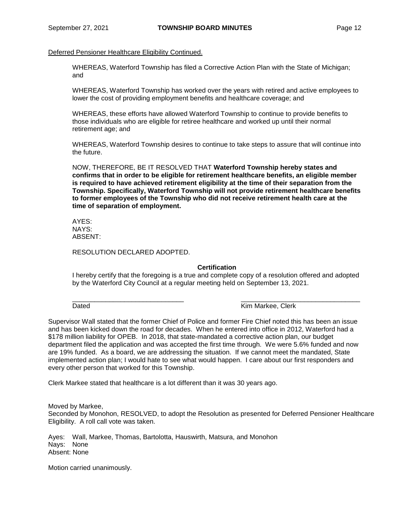Deferred Pensioner Healthcare Eligibility Continued.

WHEREAS, Waterford Township has filed a Corrective Action Plan with the State of Michigan; and

WHEREAS, Waterford Township has worked over the years with retired and active employees to lower the cost of providing employment benefits and healthcare coverage; and

WHEREAS, these efforts have allowed Waterford Township to continue to provide benefits to those individuals who are eligible for retiree healthcare and worked up until their normal retirement age; and

WHEREAS, Waterford Township desires to continue to take steps to assure that will continue into the future.

NOW, THEREFORE, BE IT RESOLVED THAT **Waterford Township hereby states and confirms that in order to be eligible for retirement healthcare benefits, an eligible member is required to have achieved retirement eligibility at the time of their separation from the Township. Specifically, Waterford Township will not provide retirement healthcare benefits to former employees of the Township who did not receive retirement health care at the time of separation of employment.**

AYES: NAYS: ABSENT:

RESOLUTION DECLARED ADOPTED.

## **Certification**

I hereby certify that the foregoing is a true and complete copy of a resolution offered and adopted by the Waterford City Council at a regular meeting held on September 13, 2021.

\_\_\_\_\_\_\_\_\_\_\_\_\_\_\_\_\_\_\_\_\_\_\_\_\_\_\_\_\_\_ \_\_\_\_\_\_\_\_\_\_\_\_\_\_\_\_\_\_\_\_\_\_\_\_\_\_\_\_\_\_\_\_

Dated **National Community Community** Charles **Kim Markee, Clerk** 

Supervisor Wall stated that the former Chief of Police and former Fire Chief noted this has been an issue and has been kicked down the road for decades. When he entered into office in 2012, Waterford had a \$178 million liability for OPEB. In 2018, that state-mandated a corrective action plan, our budget department filed the application and was accepted the first time through. We were 5.6% funded and now are 19% funded. As a board, we are addressing the situation. If we cannot meet the mandated, State implemented action plan; I would hate to see what would happen. I care about our first responders and every other person that worked for this Township.

Clerk Markee stated that healthcare is a lot different than it was 30 years ago.

Moved by Markee,

Seconded by Monohon, RESOLVED, to adopt the Resolution as presented for Deferred Pensioner Healthcare Eligibility. A roll call vote was taken.

Ayes: Wall, Markee, Thomas, Bartolotta, Hauswirth, Matsura, and Monohon Nays: None Absent: None

Motion carried unanimously.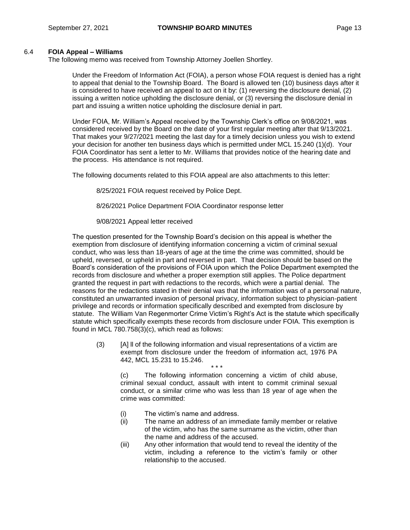## 6.4 **FOIA Appeal – Williams**

The following memo was received from Township Attorney Joellen Shortley.

Under the Freedom of Information Act (FOIA), a person whose FOIA request is denied has a right to appeal that denial to the Township Board. The Board is allowed ten (10) business days after it is considered to have received an appeal to act on it by: (1) reversing the disclosure denial, (2) issuing a written notice upholding the disclosure denial, or (3) reversing the disclosure denial in part and issuing a written notice upholding the disclosure denial in part.

Under FOIA, Mr. William's Appeal received by the Township Clerk's office on 9/08/2021, was considered received by the Board on the date of your first regular meeting after that 9/13/2021. That makes your 9/27/2021 meeting the last day for a timely decision unless you wish to extend your decision for another ten business days which is permitted under MCL 15.240 (1)(d). Your FOIA Coordinator has sent a letter to Mr. Williams that provides notice of the hearing date and the process. His attendance is not required.

The following documents related to this FOIA appeal are also attachments to this letter:

8/25/2021 FOIA request received by Police Dept.

8/26/2021 Police Department FOIA Coordinator response letter

9/08/2021 Appeal letter received

The question presented for the Township Board's decision on this appeal is whether the exemption from disclosure of identifying information concerning a victim of criminal sexual conduct, who was less than 18-years of age at the time the crime was committed, should be upheld, reversed, or upheld in part and reversed in part. That decision should be based on the Board's consideration of the provisions of FOIA upon which the Police Department exempted the records from disclosure and whether a proper exemption still applies. The Police department granted the request in part with redactions to the records, which were a partial denial. The reasons for the redactions stated in their denial was that the information was of a personal nature, constituted an unwarranted invasion of personal privacy, information subject to physician-patient privilege and records or information specifically described and exempted from disclosure by statute. The William Van Regenmorter Crime Victim's Right's Act is the statute which specifically statute which specifically exempts these records from disclosure under FOIA. This exemption is found in MCL 780.758(3)(c), which read as follows:

(3) [A] ll of the following information and visual representations of a victim are exempt from disclosure under the freedom of information act, 1976 PA 442, MCL 15.231 to 15.246. \* \* \*

(c) The following information concerning a victim of child abuse, criminal sexual conduct, assault with intent to commit criminal sexual conduct, or a similar crime who was less than 18 year of age when the crime was committed:

- (i) The victim's name and address.
- (ii) The name an address of an immediate family member or relative of the victim, who has the same surname as the victim, other than the name and address of the accused.
- (iii) Any other information that would tend to reveal the identity of the victim, including a reference to the victim's family or other relationship to the accused.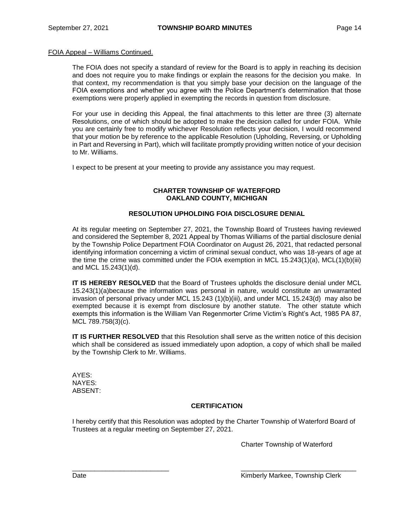#### FOIA Appeal – Williams Continued.

The FOIA does not specify a standard of review for the Board is to apply in reaching its decision and does not require you to make findings or explain the reasons for the decision you make. In that context, my recommendation is that you simply base your decision on the language of the FOIA exemptions and whether you agree with the Police Department's determination that those exemptions were properly applied in exempting the records in question from disclosure.

For your use in deciding this Appeal, the final attachments to this letter are three (3) alternate Resolutions, one of which should be adopted to make the decision called for under FOIA. While you are certainly free to modify whichever Resolution reflects your decision, I would recommend that your motion be by reference to the applicable Resolution (Upholding, Reversing, or Upholding in Part and Reversing in Part), which will facilitate promptly providing written notice of your decision to Mr. Williams.

I expect to be present at your meeting to provide any assistance you may request.

## **CHARTER TOWNSHIP OF WATERFORD OAKLAND COUNTY, MICHIGAN**

## **RESOLUTION UPHOLDING FOIA DISCLOSURE DENIAL**

At its regular meeting on September 27, 2021, the Township Board of Trustees having reviewed and considered the September 8, 2021 Appeal by Thomas Williams of the partial disclosure denial by the Township Police Department FOIA Coordinator on August 26, 2021, that redacted personal identifying information concerning a victim of criminal sexual conduct, who was 18-years of age at the time the crime was committed under the FOIA exemption in MCL 15.243(1)(a), MCL(1)(b)(iii) and MCL 15.243(1)(d).

**IT IS HEREBY RESOLVED** that the Board of Trustees upholds the disclosure denial under MCL 15.243(1)(a)because the information was personal in nature, would constitute an unwarranted invasion of personal privacy under MCL 15.243 (1)(b)(iii), and under MCL 15.243(d) may also be exempted because it is exempt from disclosure by another statute. The other statute which exempts this information is the William Van Regenmorter Crime Victim's Right's Act, 1985 PA 87, MCL 789.758(3)(c).

**IT IS FURTHER RESOLVED** that this Resolution shall serve as the written notice of this decision which shall be considered as issued immediately upon adoption, a copy of which shall be mailed by the Township Clerk to Mr. Williams.

AYES: NAYES: ABSENT:

## **CERTIFICATION**

I hereby certify that this Resolution was adopted by the Charter Township of Waterford Board of Trustees at a regular meeting on September 27, 2021.

\_\_\_\_\_\_\_\_\_\_\_\_\_\_\_\_\_\_\_\_\_\_\_\_\_\_ \_\_\_\_\_\_\_\_\_\_\_\_\_\_\_\_\_\_\_\_\_\_\_\_\_\_\_\_\_\_\_

Charter Township of Waterford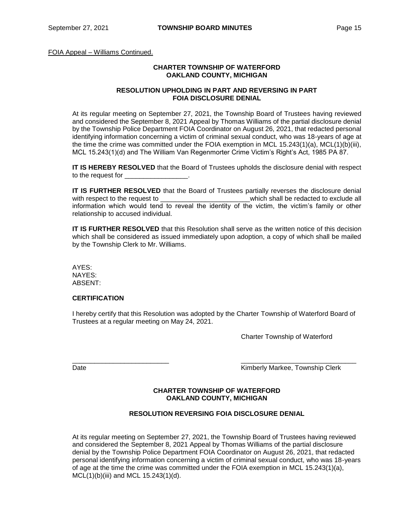FOIA Appeal – Williams Continued.

#### **CHARTER TOWNSHIP OF WATERFORD OAKLAND COUNTY, MICHIGAN**

#### **RESOLUTION UPHOLDING IN PART AND REVERSING IN PART FOIA DISCLOSURE DENIAL**

At its regular meeting on September 27, 2021, the Township Board of Trustees having reviewed and considered the September 8, 2021 Appeal by Thomas Williams of the partial disclosure denial by the Township Police Department FOIA Coordinator on August 26, 2021, that redacted personal identifying information concerning a victim of criminal sexual conduct, who was 18-years of age at the time the crime was committed under the FOIA exemption in MCL 15.243(1)(a), MCL(1)(b)(iii), MCL 15.243(1)(d) and The William Van Regenmorter Crime Victim's Right's Act, 1985 PA 87.

**IT IS HEREBY RESOLVED** that the Board of Trustees upholds the disclosure denial with respect to the request for

**IT IS FURTHER RESOLVED** that the Board of Trustees partially reverses the disclosure denial with respect to the request to  $\blacksquare$  which shall be redacted to exclude all information which would tend to reveal the identity of the victim, the victim's family or other relationship to accused individual.

**IT IS FURTHER RESOLVED** that this Resolution shall serve as the written notice of this decision which shall be considered as issued immediately upon adoption, a copy of which shall be mailed by the Township Clerk to Mr. Williams.

AYES: NAYES: ABSENT:

## **CERTIFICATION**

I hereby certify that this Resolution was adopted by the Charter Township of Waterford Board of Trustees at a regular meeting on May 24, 2021.

\_\_\_\_\_\_\_\_\_\_\_\_\_\_\_\_\_\_\_\_\_\_\_\_\_\_ \_\_\_\_\_\_\_\_\_\_\_\_\_\_\_\_\_\_\_\_\_\_\_\_\_\_\_\_\_\_\_

Charter Township of Waterford

Date **Contract Contract Contract Contract Contract Contract Contract Contract Contract Contract Contract Contract Contract Contract Contract Contract Contract Contract Contract Contract Contract Contract Contract Contract** 

#### **CHARTER TOWNSHIP OF WATERFORD OAKLAND COUNTY, MICHIGAN**

## **RESOLUTION REVERSING FOIA DISCLOSURE DENIAL**

At its regular meeting on September 27, 2021, the Township Board of Trustees having reviewed and considered the September 8, 2021 Appeal by Thomas Williams of the partial disclosure denial by the Township Police Department FOIA Coordinator on August 26, 2021, that redacted personal identifying information concerning a victim of criminal sexual conduct, who was 18-years of age at the time the crime was committed under the FOIA exemption in MCL 15.243(1)(a), MCL(1)(b)(iii) and MCL 15.243(1)(d).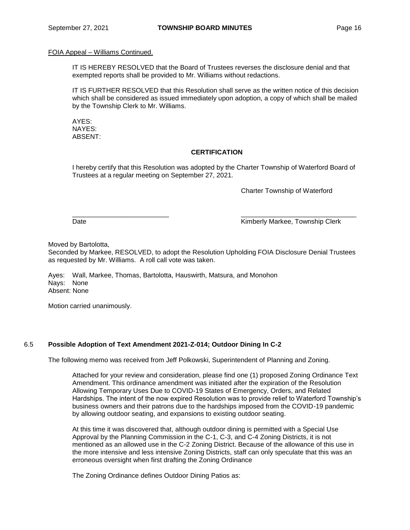#### FOIA Appeal – Williams Continued.

IT IS HEREBY RESOLVED that the Board of Trustees reverses the disclosure denial and that exempted reports shall be provided to Mr. Williams without redactions.

IT IS FURTHER RESOLVED that this Resolution shall serve as the written notice of this decision which shall be considered as issued immediately upon adoption, a copy of which shall be mailed by the Township Clerk to Mr. Williams.

AYES: NAYES: ABSENT:

## **CERTIFICATION**

I hereby certify that this Resolution was adopted by the Charter Township of Waterford Board of Trustees at a regular meeting on September 27, 2021.

\_\_\_\_\_\_\_\_\_\_\_\_\_\_\_\_\_\_\_\_\_\_\_\_\_\_ \_\_\_\_\_\_\_\_\_\_\_\_\_\_\_\_\_\_\_\_\_\_\_\_\_\_\_\_\_\_\_

Charter Township of Waterford

Date **Contract Contract Contract Contract Contract Contract Contract Contract Contract Contract Contract Contract Contract Contract Contract Contract Contract Contract Contract Contract Contract Contract Contract Contract** 

Moved by Bartolotta,

Seconded by Markee, RESOLVED, to adopt the Resolution Upholding FOIA Disclosure Denial Trustees as requested by Mr. Williams. A roll call vote was taken.

Ayes: Wall, Markee, Thomas, Bartolotta, Hauswirth, Matsura, and Monohon Nays: None Absent: None

Motion carried unanimously.

## 6.5 **Possible Adoption of Text Amendment 2021-Z-014; Outdoor Dining In C-2**

The following memo was received from Jeff Polkowski, Superintendent of Planning and Zoning.

Attached for your review and consideration, please find one (1) proposed Zoning Ordinance Text Amendment. This ordinance amendment was initiated after the expiration of the Resolution Allowing Temporary Uses Due to COVID-19 States of Emergency, Orders, and Related Hardships. The intent of the now expired Resolution was to provide relief to Waterford Township's business owners and their patrons due to the hardships imposed from the COVID-19 pandemic by allowing outdoor seating, and expansions to existing outdoor seating.

At this time it was discovered that, although outdoor dining is permitted with a Special Use Approval by the Planning Commission in the C-1, C-3, and C-4 Zoning Districts, it is not mentioned as an allowed use in the C-2 Zoning District. Because of the allowance of this use in the more intensive and less intensive Zoning Districts, staff can only speculate that this was an erroneous oversight when first drafting the Zoning Ordinance

The Zoning Ordinance defines Outdoor Dining Patios as: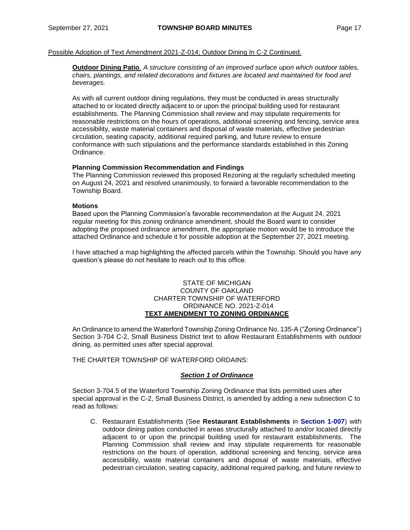Possible Adoption of Text Amendment 2021-Z-014; Outdoor Dining In C-2 Continued.

**Outdoor Dining Patio**. *A structure consisting of an improved surface upon which outdoor tables, chairs, plantings, and related decorations and fixtures are located and maintained for food and beverages.*

As with all current outdoor dining regulations, they must be conducted in areas structurally attached to or located directly adjacent to or upon the principal building used for restaurant establishments. The Planning Commission shall review and may stipulate requirements for reasonable restrictions on the hours of operations, additional screening and fencing, service area accessibility, waste material containers and disposal of waste materials, effective pedestrian circulation, seating capacity, additional required parking, and future review to ensure conformance with such stipulations and the performance standards established in this Zoning Ordinance.

## **Planning Commission Recommendation and Findings**

The Planning Commission reviewed this proposed Rezoning at the regularly scheduled meeting on August 24, 2021 and resolved unanimously, to forward a favorable recommendation to the Township Board.

## **Motions**

Based upon the Planning Commission's favorable recommendation at the August 24, 2021 regular meeting for this zoning ordinance amendment, should the Board want to consider adopting the proposed ordinance amendment, the appropriate motion would be to introduce the attached Ordinance and schedule it for possible adoption at the September 27, 2021 meeting.

I have attached a map highlighting the affected parcels within the Township. Should you have any question's please do not hesitate to reach out to this office.

#### STATE OF MICHIGAN COUNTY OF OAKLAND CHARTER TOWNSHIP OF WATERFORD ORDINANCE NO. 2021-Z-014 **TEXT AMENDMENT TO ZONING ORDINANCE**

An Ordinance to amend the Waterford Township Zoning Ordinance No. 135-A ("Zoning Ordinance") Section 3-704 C-2, Small Business District text to allow Restaurant Establishments with outdoor dining, as permitted uses after special approval.

THE CHARTER TOWNSHIP OF WATERFORD ORDAINS:

## *Section 1 of Ordinance*

Section 3-704.5 of the Waterford Township Zoning Ordinance that lists permitted uses after special approval in the C-2, Small Business District, is amended by adding a new subsection C to read as follows:

C. Restaurant Establishments (See **Restaurant Establishments** in **Section 1-007**) with outdoor dining patios conducted in areas structurally attached to and/or located directly adjacent to or upon the principal building used for restaurant establishments. The Planning Commission shall review and may stipulate requirements for reasonable restrictions on the hours of operation, additional screening and fencing, service area accessibility, waste material containers and disposal of waste materials, effective pedestrian circulation, seating capacity, additional required parking, and future review to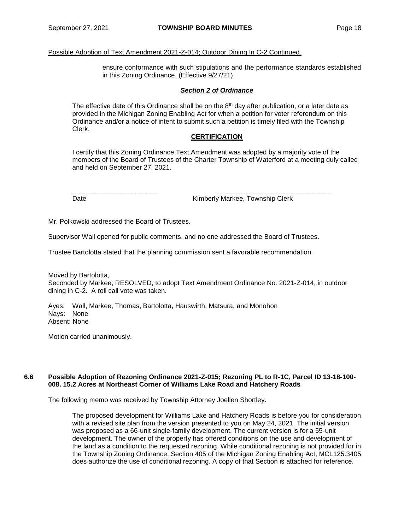#### Possible Adoption of Text Amendment 2021-Z-014; Outdoor Dining In C-2 Continued.

ensure conformance with such stipulations and the performance standards established in this Zoning Ordinance. (Effective 9/27/21)

#### *Section 2 of Ordinance*

The effective date of this Ordinance shall be on the  $8<sup>th</sup>$  day after publication, or a later date as provided in the Michigan Zoning Enabling Act for when a petition for voter referendum on this Ordinance and/or a notice of intent to submit such a petition is timely filed with the Township Clerk.

#### **CERTIFICATION**

I certify that this Zoning Ordinance Text Amendment was adopted by a majority vote of the members of the Board of Trustees of the Charter Township of Waterford at a meeting duly called and held on September 27, 2021.

\_\_\_\_\_\_\_\_\_\_\_\_\_\_\_\_\_\_\_\_\_\_\_ \_\_\_\_\_\_\_\_\_\_\_\_\_\_\_\_\_\_\_\_\_\_\_\_\_\_\_\_\_\_\_

Date **Date Example 20** Kimberly Markee, Township Clerk

Mr. Polkowski addressed the Board of Trustees.

Supervisor Wall opened for public comments, and no one addressed the Board of Trustees.

Trustee Bartolotta stated that the planning commission sent a favorable recommendation.

Moved by Bartolotta, Seconded by Markee; RESOLVED, to adopt Text Amendment Ordinance No. 2021-Z-014, in outdoor dining in C-2. A roll call vote was taken.

Ayes: Wall, Markee, Thomas, Bartolotta, Hauswirth, Matsura, and Monohon Nays: None Absent: None

Motion carried unanimously.

#### **6.6 Possible Adoption of Rezoning Ordinance 2021-Z-015; Rezoning PL to R-1C, Parcel ID 13-18-100- 008. 15.2 Acres at Northeast Corner of Williams Lake Road and Hatchery Roads**

The following memo was received by Township Attorney Joellen Shortley.

The proposed development for Williams Lake and Hatchery Roads is before you for consideration with a revised site plan from the version presented to you on May 24, 2021. The initial version was proposed as a 66-unit single-family development. The current version is for a 55-unit development. The owner of the property has offered conditions on the use and development of the land as a condition to the requested rezoning. While conditional rezoning is not provided for in the Township Zoning Ordinance, Section 405 of the Michigan Zoning Enabling Act, MCL125.3405 does authorize the use of conditional rezoning. A copy of that Section is attached for reference.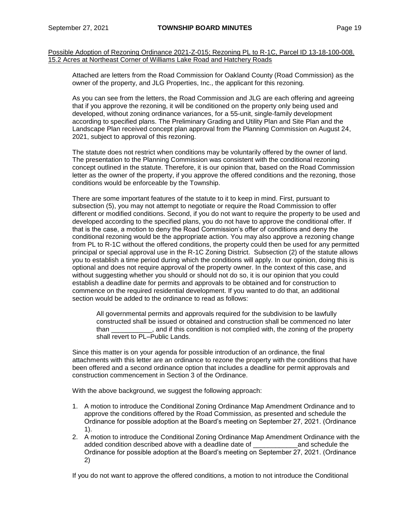Attached are letters from the Road Commission for Oakland County (Road Commission) as the owner of the property, and JLG Properties, Inc., the applicant for this rezoning.

As you can see from the letters, the Road Commission and JLG are each offering and agreeing that if you approve the rezoning, it will be conditioned on the property only being used and developed, without zoning ordinance variances, for a 55-unit, single-family development according to specified plans. The Preliminary Grading and Utility Plan and Site Plan and the Landscape Plan received concept plan approval from the Planning Commission on August 24, 2021, subject to approval of this rezoning.

The statute does not restrict when conditions may be voluntarily offered by the owner of land. The presentation to the Planning Commission was consistent with the conditional rezoning concept outlined in the statute. Therefore, it is our opinion that, based on the Road Commission letter as the owner of the property, if you approve the offered conditions and the rezoning, those conditions would be enforceable by the Township.

There are some important features of the statute to it to keep in mind. First, pursuant to subsection (5), you may not attempt to negotiate or require the Road Commission to offer different or modified conditions. Second, if you do not want to require the property to be used and developed according to the specified plans, you do not have to approve the conditional offer. If that is the case, a motion to deny the Road Commission's offer of conditions and deny the conditional rezoning would be the appropriate action. You may also approve a rezoning change from PL to R-1C without the offered conditions, the property could then be used for any permitted principal or special approval use in the R-1C Zoning District. Subsection (2) of the statute allows you to establish a time period during which the conditions will apply. In our opinion, doing this is optional and does not require approval of the property owner. In the context of this case, and without suggesting whether you should or should not do so, it is our opinion that you could establish a deadline date for permits and approvals to be obtained and for construction to commence on the required residential development. If you wanted to do that, an additional section would be added to the ordinance to read as follows:

All governmental permits and approvals required for the subdivision to be lawfully constructed shall be issued or obtained and construction shall be commenced no later than \_\_\_\_\_\_\_\_\_\_\_, and if this condition is not complied with, the zoning of the property shall revert to PL–Public Lands.

Since this matter is on your agenda for possible introduction of an ordinance, the final attachments with this letter are an ordinance to rezone the property with the conditions that have been offered and a second ordinance option that includes a deadline for permit approvals and construction commencement in Section 3 of the Ordinance.

With the above background, we suggest the following approach:

- 1. A motion to introduce the Conditional Zoning Ordinance Map Amendment Ordinance and to approve the conditions offered by the Road Commission, as presented and schedule the Ordinance for possible adoption at the Board's meeting on September 27, 2021. (Ordinance 1).
- 2. A motion to introduce the Conditional Zoning Ordinance Map Amendment Ordinance with the added condition described above with a deadline date of \_\_\_\_\_\_\_\_\_\_\_\_and schedule the Ordinance for possible adoption at the Board's meeting on September 27, 2021. (Ordinance 2)

If you do not want to approve the offered conditions, a motion to not introduce the Conditional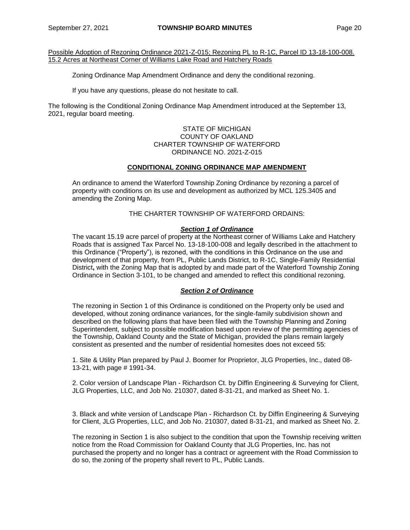Zoning Ordinance Map Amendment Ordinance and deny the conditional rezoning.

If you have any questions, please do not hesitate to call.

The following is the Conditional Zoning Ordinance Map Amendment introduced at the September 13, 2021, regular board meeting.

#### STATE OF MICHIGAN COUNTY OF OAKLAND CHARTER TOWNSHIP OF WATERFORD ORDINANCE NO. 2021-Z-015

## **CONDITIONAL ZONING ORDINANCE MAP AMENDMENT**

An ordinance to amend the Waterford Township Zoning Ordinance by rezoning a parcel of property with conditions on its use and development as authorized by MCL 125.3405 and amending the Zoning Map.

THE CHARTER TOWNSHIP OF WATERFORD ORDAINS:

## *Section 1 of Ordinance*

The vacant 15.19 acre parcel of property at the Northeast corner of Williams Lake and Hatchery Roads that is assigned Tax Parcel No. 13-18-100-008 and legally described in the attachment to this Ordinance ("Property"), is rezoned, with the conditions in this Ordinance on the use and development of that property, from PL, Public Lands District, to R-1C, Single-Family Residential District**,** with the Zoning Map that is adopted by and made part of the Waterford Township Zoning Ordinance in Section 3-101, to be changed and amended to reflect this conditional rezoning.

## *Section 2 of Ordinance*

The rezoning in Section 1 of this Ordinance is conditioned on the Property only be used and developed, without zoning ordinance variances, for the single-family subdivision shown and described on the following plans that have been filed with the Township Planning and Zoning Superintendent, subject to possible modification based upon review of the permitting agencies of the Township, Oakland County and the State of Michigan, provided the plans remain largely consistent as presented and the number of residential homesites does not exceed 55:

1. Site & Utility Plan prepared by Paul J. Boomer for Proprietor, JLG Properties, Inc., dated 08- 13-21, with page # 1991-34.

2. Color version of Landscape Plan - Richardson Ct. by Diffin Engineering & Surveying for Client, JLG Properties, LLC, and Job No. 210307, dated 8-31-21, and marked as Sheet No. 1.

3. Black and white version of Landscape Plan - Richardson Ct. by Diffin Engineering & Surveying for Client, JLG Properties, LLC, and Job No. 210307, dated 8-31-21, and marked as Sheet No. 2.

The rezoning in Section 1 is also subject to the condition that upon the Township receiving written notice from the Road Commission for Oakland County that JLG Properties, Inc. has not purchased the property and no longer has a contract or agreement with the Road Commission to do so, the zoning of the property shall revert to PL, Public Lands.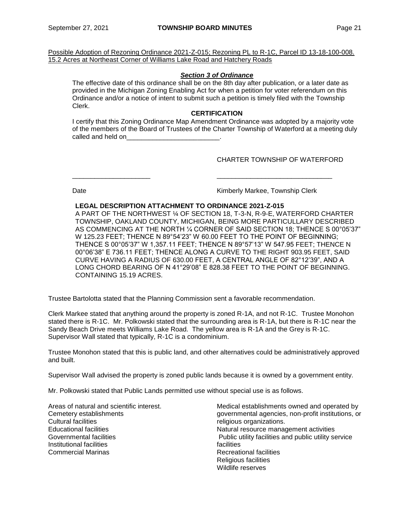## *Section 3 of Ordinance*

The effective date of this ordinance shall be on the 8th day after publication, or a later date as provided in the Michigan Zoning Enabling Act for when a petition for voter referendum on this Ordinance and/or a notice of intent to submit such a petition is timely filed with the Township Clerk.

## **CERTIFICATION**

I certify that this Zoning Ordinance Map Amendment Ordinance was adopted by a majority vote of the members of the Board of Trustees of the Charter Township of Waterford at a meeting duly called and held on

\_\_\_\_\_\_\_\_\_\_\_\_\_\_\_\_\_\_\_\_\_ \_\_\_\_\_\_\_\_\_\_\_\_\_\_\_\_\_\_\_\_\_\_\_\_\_\_\_\_\_\_\_

CHARTER TOWNSHIP OF WATERFORD

Date **Contract Contract Contract Contract Contract Contract Contract Contract Contract Contract Contract Contract Contract Contract Contract Contract Contract Contract Contract Contract Contract Contract Contract Contract** 

## **LEGAL DESCRIPTION ATTACHMENT TO ORDINANCE 2021-Z-015**

A PART OF THE NORTHWEST ¼ OF SECTION 18, T-3-N, R-9-E, WATERFORD CHARTER TOWNSHIP, OAKLAND COUNTY, MICHIGAN, BEING MORE PARTICULLARY DESCRIBED AS COMMENCING AT THE NORTH ¼ CORNER OF SAID SECTION 18; THENCE S 00°05'37" W 125.23 FEET; THENCE N 89°54'23" W 60.00 FEET TO THE POINT OF BEGINNING; THENCE S 00°05'37" W 1,357.11 FEET; THENCE N 89°57'13" W 547.95 FEET; THENCE N 00°06'38" E 736.11 FEET; THENCE ALONG A CURVE TO THE RIGHT 903.95 FEET, SAID CURVE HAVING A RADIUS OF 630.00 FEET, A CENTRAL ANGLE OF 82°12'39", AND A LONG CHORD BEARING OF N 41°29'08" E 828.38 FEET TO THE POINT OF BEGINNING. CONTAINING 15.19 ACRES.

Trustee Bartolotta stated that the Planning Commission sent a favorable recommendation.

Clerk Markee stated that anything around the property is zoned R-1A, and not R-1C. Trustee Monohon stated there is R-1C. Mr. Polkowski stated that the surrounding area is R-1A, but there is R-1C near the Sandy Beach Drive meets Williams Lake Road. The yellow area is R-1A and the Grey is R-1C. Supervisor Wall stated that typically, R-1C is a condominium.

Trustee Monohon stated that this is public land, and other alternatives could be administratively approved and built.

Supervisor Wall advised the property is zoned public lands because it is owned by a government entity.

Mr. Polkowski stated that Public Lands permitted use without special use is as follows.

Areas of natural and scientific interest. Cemetery establishments Cultural facilities Educational facilities Governmental facilities Institutional facilities Commercial Marinas

Medical establishments owned and operated by governmental agencies, non-profit institutions, or religious organizations. Natural resource management activities Public utility facilities and public utility service facilities Recreational facilities Religious facilities Wildlife reserves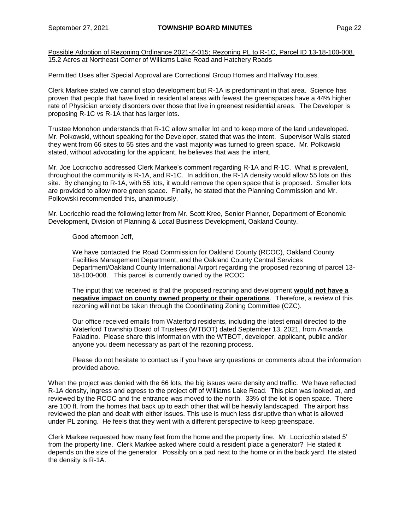Permitted Uses after Special Approval are Correctional Group Homes and Halfway Houses.

Clerk Markee stated we cannot stop development but R-1A is predominant in that area. Science has proven that people that have lived in residential areas with fewest the greenspaces have a 44% higher rate of Physician anxiety disorders over those that live in greenest residential areas. The Developer is proposing R-1C vs R-1A that has larger lots.

Trustee Monohon understands that R-1C allow smaller lot and to keep more of the land undeveloped. Mr. Polkowski, without speaking for the Developer, stated that was the intent. Supervisor Walls stated they went from 66 sites to 55 sites and the vast majority was turned to green space. Mr. Polkowski stated, without advocating for the applicant, he believes that was the intent.

Mr. Joe Locricchio addressed Clerk Markee's comment regarding R-1A and R-1C. What is prevalent, throughout the community is R-1A, and R-1C. In addition, the R-1A density would allow 55 lots on this site. By changing to R-1A, with 55 lots, it would remove the open space that is proposed. Smaller lots are provided to allow more green space. Finally, he stated that the Planning Commission and Mr. Polkowski recommended this, unanimously.

Mr. Locricchio read the following letter from Mr. Scott Kree, Senior Planner, Department of Economic Development, Division of Planning & Local Business Development, Oakland County.

Good afternoon Jeff,

We have contacted the Road Commission for Oakland County (RCOC), Oakland County Facilities Management Department, and the Oakland County Central Services Department/Oakland County International Airport regarding the proposed rezoning of parcel 13- 18-100-008. This parcel is currently owned by the RCOC.

The input that we received is that the proposed rezoning and development **would not have a negative impact on county owned property or their operations**. Therefore, a review of this rezoning will not be taken through the Coordinating Zoning Committee (CZC).

Our office received emails from Waterford residents, including the latest email directed to the Waterford Township Board of Trustees (WTBOT) dated September 13, 2021, from Amanda Paladino. Please share this information with the WTBOT, developer, applicant, public and/or anyone you deem necessary as part of the rezoning process.

Please do not hesitate to contact us if you have any questions or comments about the information provided above.

When the project was denied with the 66 lots, the big issues were density and traffic. We have reflected R-1A density, ingress and egress to the project off of Williams Lake Road. This plan was looked at, and reviewed by the RCOC and the entrance was moved to the north. 33% of the lot is open space. There are 100 ft. from the homes that back up to each other that will be heavily landscaped. The airport has reviewed the plan and dealt with either issues. This use is much less disruptive than what is allowed under PL zoning. He feels that they went with a different perspective to keep greenspace.

Clerk Markee requested how many feet from the home and the property line. Mr. Locricchio stated 5' from the property line. Clerk Markee asked where could a resident place a generator? He stated it depends on the size of the generator. Possibly on a pad next to the home or in the back yard. He stated the density is R-1A.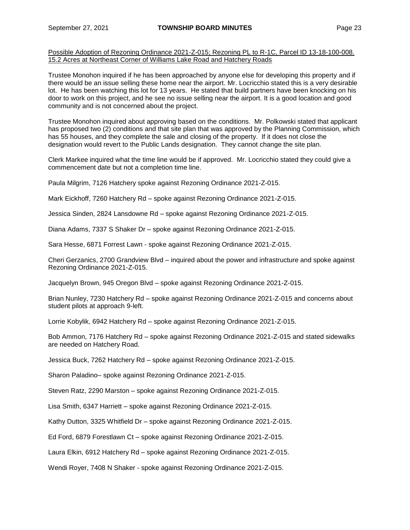Trustee Monohon inquired if he has been approached by anyone else for developing this property and if there would be an issue selling these home near the airport. Mr. Locricchio stated this is a very desirable lot. He has been watching this lot for 13 years. He stated that build partners have been knocking on his door to work on this project, and he see no issue selling near the airport. It is a good location and good community and is not concerned about the project.

Trustee Monohon inquired about approving based on the conditions. Mr. Polkowski stated that applicant has proposed two (2) conditions and that site plan that was approved by the Planning Commission, which has 55 houses, and they complete the sale and closing of the property. If it does not close the designation would revert to the Public Lands designation. They cannot change the site plan.

Clerk Markee inquired what the time line would be if approved. Mr. Locricchio stated they could give a commencement date but not a completion time line.

Paula Milgrim, 7126 Hatchery spoke against Rezoning Ordinance 2021-Z-015.

Mark Eickhoff, 7260 Hatchery Rd – spoke against Rezoning Ordinance 2021-Z-015.

Jessica Sinden, 2824 Lansdowne Rd – spoke against Rezoning Ordinance 2021-Z-015.

Diana Adams, 7337 S Shaker Dr – spoke against Rezoning Ordinance 2021-Z-015.

Sara Hesse, 6871 Forrest Lawn - spoke against Rezoning Ordinance 2021-Z-015.

Cheri Gerzanics, 2700 Grandview Blvd – inquired about the power and infrastructure and spoke against Rezoning Ordinance 2021-Z-015.

Jacquelyn Brown, 945 Oregon Blvd – spoke against Rezoning Ordinance 2021-Z-015.

Brian Nunley, 7230 Hatchery Rd – spoke against Rezoning Ordinance 2021-Z-015 and concerns about student pilots at approach 9-left.

Lorrie Kobylik, 6942 Hatchery Rd – spoke against Rezoning Ordinance 2021-Z-015.

Bob Ammon, 7176 Hatchery Rd – spoke against Rezoning Ordinance 2021-Z-015 and stated sidewalks are needed on Hatchery Road.

Jessica Buck, 7262 Hatchery Rd – spoke against Rezoning Ordinance 2021-Z-015.

Sharon Paladino– spoke against Rezoning Ordinance 2021-Z-015.

Steven Ratz, 2290 Marston – spoke against Rezoning Ordinance 2021-Z-015.

Lisa Smith, 6347 Harriett – spoke against Rezoning Ordinance 2021-Z-015.

Kathy Dutton, 3325 Whitfield Dr – spoke against Rezoning Ordinance 2021-Z-015.

Ed Ford, 6879 Forestlawn Ct – spoke against Rezoning Ordinance 2021-Z-015.

Laura Elkin, 6912 Hatchery Rd – spoke against Rezoning Ordinance 2021-Z-015.

Wendi Royer, 7408 N Shaker - spoke against Rezoning Ordinance 2021-Z-015.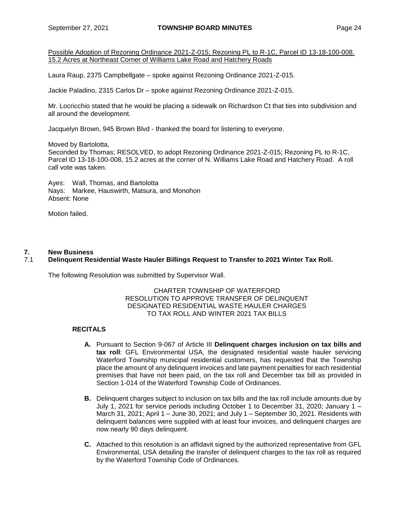Laura Raup, 2375 Campbellgate – spoke against Rezoning Ordinance 2021-Z-015.

Jackie Paladino, 2315 Carlos Dr – spoke against Rezoning Ordinance 2021-Z-015.

Mr. Locricchio stated that he would be placing a sidewalk on Richardson Ct that ties into subdivision and all around the development.

Jacquelyn Brown, 945 Brown Blvd - thanked the board for listening to everyone.

Moved by Bartolotta, Seconded by Thomas; RESOLVED, to adopt Rezoning Ordinance 2021-Z-015; Rezoning PL to R-1C, Parcel ID 13-18-100-008, 15.2 acres at the corner of N. Williams Lake Road and Hatchery Road. A roll call vote was taken.

Ayes: Wall, Thomas, and Bartolotta Nays: Markee, Hauswirth, Matsura, and Monohon Absent: None

Motion failed.

## **7. New Business**

## 7.1 **Delinquent Residential Waste Hauler Billings Request to Transfer to 2021 Winter Tax Roll.**

The following Resolution was submitted by Supervisor Wall.

CHARTER TOWNSHIP OF WATERFORD RESOLUTION TO APPROVE TRANSFER OF DELINQUENT DESIGNATED RESIDENTIAL WASTE HAULER CHARGES TO TAX ROLL AND WINTER 2021 TAX BILLS

## **RECITALS**

- **A.** Pursuant to Section 9-067 of Article III **Delinquent charges inclusion on tax bills and tax roll**: GFL Environmental USA, the designated residential waste hauler servicing Waterford Township municipal residential customers, has requested that the Township place the amount of any delinquent invoices and late payment penalties for each residential premises that have not been paid, on the tax roll and December tax bill as provided in Section 1-014 of the Waterford Township Code of Ordinances.
- **B.** Delinquent charges subject to inclusion on tax bills and the tax roll include amounts due by July 1, 2021 for service periods including October 1 to December 31, 2020; January 1 – March 31, 2021; April 1 – June 30, 2021; and July 1 – September 30, 2021. Residents with delinquent balances were supplied with at least four invoices, and delinquent charges are now nearly 90 days delinquent.
- **C.** Attached to this resolution is an affidavit signed by the authorized representative from GFL Environmental, USA detailing the transfer of delinquent charges to the tax roll as required by the Waterford Township Code of Ordinances.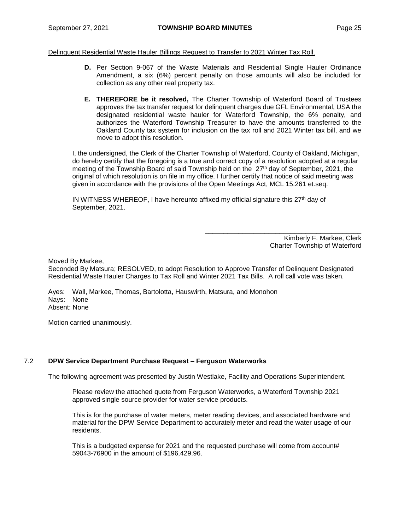Delinquent Residential Waste Hauler Billings Request to Transfer to 2021 Winter Tax Roll.

- **D.** Per Section 9-067 of the Waste Materials and Residential Single Hauler Ordinance Amendment, a six (6%) percent penalty on those amounts will also be included for collection as any other real property tax.
- **E. THEREFORE be it resolved,** The Charter Township of Waterford Board of Trustees approves the tax transfer request for delinquent charges due GFL Environmental, USA the designated residential waste hauler for Waterford Township, the 6% penalty, and authorizes the Waterford Township Treasurer to have the amounts transferred to the Oakland County tax system for inclusion on the tax roll and 2021 Winter tax bill, and we move to adopt this resolution.

I, the undersigned, the Clerk of the Charter Township of Waterford, County of Oakland, Michigan, do hereby certify that the foregoing is a true and correct copy of a resolution adopted at a regular meeting of the Township Board of said Township held on the 27<sup>th</sup> day of September, 2021, the original of which resolution is on file in my office. I further certify that notice of said meeting was given in accordance with the provisions of the Open Meetings Act, MCL 15.261 et.seq.

IN WITNESS WHEREOF, I have hereunto affixed my official signature this  $27<sup>th</sup>$  day of September, 2021.

> Kimberly F. Markee, Clerk Charter Township of Waterford

\_\_\_\_\_\_\_\_\_\_\_\_\_\_\_\_\_\_\_\_\_\_\_\_\_\_\_\_\_\_\_\_\_\_\_\_\_\_\_\_\_\_

Moved By Markee,

Seconded By Matsura; RESOLVED, to adopt Resolution to Approve Transfer of Delinquent Designated Residential Waste Hauler Charges to Tax Roll and Winter 2021 Tax Bills. A roll call vote was taken.

Ayes: Wall, Markee, Thomas, Bartolotta, Hauswirth, Matsura, and Monohon Nays: None Absent: None

Motion carried unanimously.

## 7.2 **DPW Service Department Purchase Request – Ferguson Waterworks**

The following agreement was presented by Justin Westlake, Facility and Operations Superintendent.

Please review the attached quote from Ferguson Waterworks, a Waterford Township 2021 approved single source provider for water service products.

This is for the purchase of water meters, meter reading devices, and associated hardware and material for the DPW Service Department to accurately meter and read the water usage of our residents.

This is a budgeted expense for 2021 and the requested purchase will come from account# 59043-76900 in the amount of \$196,429.96.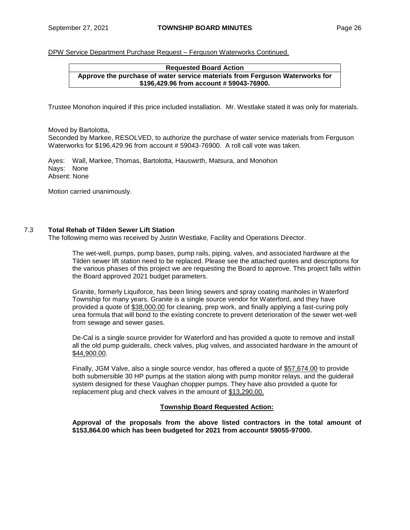DPW Service Department Purchase Request – Ferguson Waterworks Continued.

#### **Requested Board Action Approve the purchase of water service materials from Ferguson Waterworks for \$196,429.96 from account # 59043-76900.**

Trustee Monohon inquired if this price included installation. Mr. Westlake stated it was only for materials.

Moved by Bartolotta,

Seconded by Markee, RESOLVED, to authorize the purchase of water service materials from Ferguson Waterworks for \$196,429.96 from account # 59043-76900. A roll call vote was taken.

Ayes: Wall, Markee, Thomas, Bartolotta, Hauswirth, Matsura, and Monohon Nays: None Absent: None

Motion carried unanimously.

## 7.3 **Total Rehab of Tilden Sewer Lift Station**

The following memo was received by Justin Westlake, Facility and Operations Director.

The wet-well, pumps, pump bases, pump rails, piping, valves, and associated hardware at the Tilden sewer lift station need to be replaced. Please see the attached quotes and descriptions for the various phases of this project we are requesting the Board to approve. This project falls within the Board approved 2021 budget parameters.

Granite, formerly Liquiforce, has been lining sewers and spray coating manholes in Waterford Township for many years. Granite is a single source vendor for Waterford, and they have provided a quote of \$38,000.00 for cleaning, prep work, and finally applying a fast-curing poly urea formula that will bond to the existing concrete to prevent deterioration of the sewer wet-well from sewage and sewer gases.

De-Cal is a single source provider for Waterford and has provided a quote to remove and install all the old pump guiderails, check valves, plug valves, and associated hardware in the amount of \$44,900.00.

Finally, JGM Valve, also a single source vendor, has offered a quote of \$57,674.00 to provide both submersible 30 HP pumps at the station along with pump monitor relays, and the guiderail system designed for these Vaughan chopper pumps. They have also provided a quote for replacement plug and check valves in the amount of \$13,290.00.

## **Township Board Requested Action:**

**Approval of the proposals from the above listed contractors in the total amount of \$153,864.00 which has been budgeted for 2021 from account# 59055-97000.**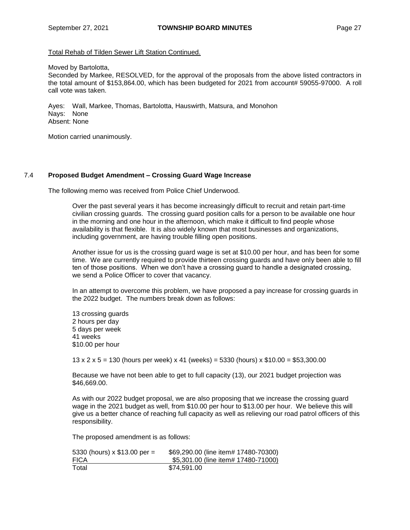Total Rehab of Tilden Sewer Lift Station Continued.

Moved by Bartolotta,

Seconded by Markee, RESOLVED, for the approval of the proposals from the above listed contractors in the total amount of \$153,864.00, which has been budgeted for 2021 from account# 59055-97000. A roll call vote was taken.

Ayes: Wall, Markee, Thomas, Bartolotta, Hauswirth, Matsura, and Monohon Nays: None Absent: None

Motion carried unanimously.

## 7.4 **Proposed Budget Amendment – Crossing Guard Wage Increase**

The following memo was received from Police Chief Underwood.

Over the past several years it has become increasingly difficult to recruit and retain part-time civilian crossing guards. The crossing guard position calls for a person to be available one hour in the morning and one hour in the afternoon, which make it difficult to find people whose availability is that flexible. It is also widely known that most businesses and organizations, including government, are having trouble filling open positions.

Another issue for us is the crossing guard wage is set at \$10.00 per hour, and has been for some time. We are currently required to provide thirteen crossing guards and have only been able to fill ten of those positions. When we don't have a crossing guard to handle a designated crossing, we send a Police Officer to cover that vacancy.

In an attempt to overcome this problem, we have proposed a pay increase for crossing guards in the 2022 budget. The numbers break down as follows:

13 crossing guards 2 hours per day 5 days per week 41 weeks \$10.00 per hour

13 x 2 x 5 = 130 (hours per week) x 41 (weeks) = 5330 (hours) x \$10.00 = \$53,300.00

Because we have not been able to get to full capacity (13), our 2021 budget projection was \$46,669.00.

As with our 2022 budget proposal, we are also proposing that we increase the crossing guard wage in the 2021 budget as well, from \$10.00 per hour to \$13.00 per hour. We believe this will give us a better chance of reaching full capacity as well as relieving our road patrol officers of this responsibility.

The proposed amendment is as follows:

| 5330 (hours) x $$13.00$ per = | \$69,290.00 (line item# 17480-70300) |
|-------------------------------|--------------------------------------|
| <b>FICA</b>                   | \$5,301.00 (line item# 17480-71000)  |
| Total                         | \$74.591.00                          |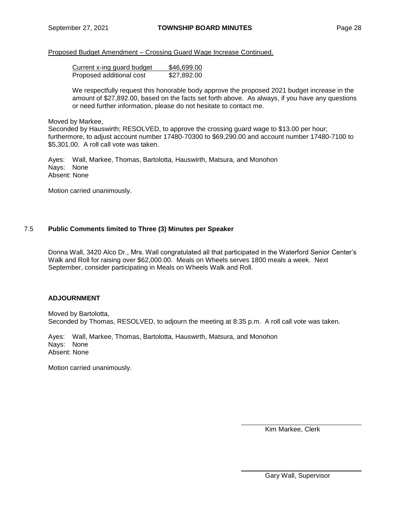## Proposed Budget Amendment – Crossing Guard Wage Increase Continued.

| Current x-ing guard budget | \$46,699.00 |
|----------------------------|-------------|
| Proposed additional cost   | \$27,892.00 |

We respectfully request this honorable body approve the proposed 2021 budget increase in the amount of \$27,892.00, based on the facts set forth above. As always, if you have any questions or need further information, please do not hesitate to contact me.

## Moved by Markee,

Seconded by Hauswirth; RESOLVED, to approve the crossing guard wage to \$13.00 per hour; furthermore, to adjust account number 17480-70300 to \$69,290.00 and account number 17480-7100 to \$5,301.00. A roll call vote was taken.

Ayes: Wall, Markee, Thomas, Bartolotta, Hauswirth, Matsura, and Monohon Nays: None Absent: None

Motion carried unanimously.

## 7.5 **Public Comments limited to Three (3) Minutes per Speaker**

Donna Wall, 3420 Alco Dr., Mrs. Wall congratulated all that participated in the Waterford Senior Center's Walk and Roll for raising over \$62,000.00. Meals on Wheels serves 1800 meals a week. Next September, consider participating in Meals on Wheels Walk and Roll.

## **ADJOURNMENT**

Moved by Bartolotta, Seconded by Thomas, RESOLVED, to adjourn the meeting at 8:35 p.m. A roll call vote was taken.

Ayes: Wall, Markee, Thomas, Bartolotta, Hauswirth, Matsura, and Monohon Nays: None Absent: None

Motion carried unanimously.

Kim Markee, Clerk

Gary Wall, Supervisor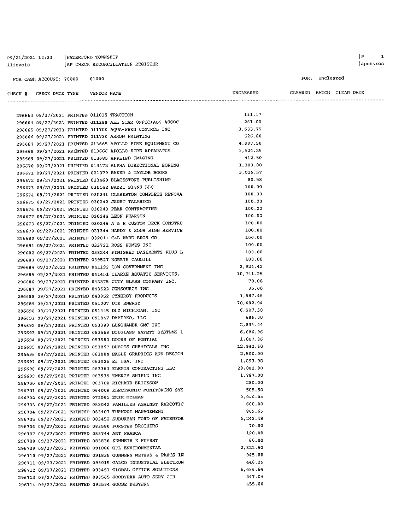| 09/21/2021 12:33 | WATERFORD TOWNSHIP               |
|------------------|----------------------------------|
| llievois         | AP CHECK RECONCILIATION REGISTER |

CHECK  $#$  CHECK DATE TYPE VENDOR NAME

| I P | 1        |
|-----|----------|
|     | apchkrcn |

| FUK I | uncreared |
|-------|-----------|
|       |           |

 $\begin{minipage}{0.9\linewidth} \textbf{URARED} & \textbf{BATCH} & \textbf{CLEAR} & \textbf{DATE} \end{minipage}$ 

| 296663 09/27/2021 PRINTED 011015 TRACTION |  |                                                            | 111.17    |  |
|-------------------------------------------|--|------------------------------------------------------------|-----------|--|
|                                           |  | 296664 09/27/2021 PRINTED 011188 ALL STAR OFFICIALS ASSOC  | 261.00    |  |
|                                           |  | 296665 09/27/2021 PRINTED 011700 AQUA-WEED CONTROL INC     | 3,633.75  |  |
|                                           |  | 296666 09/27/2021 PRINTED 011730 ARROW PRINTING            | 526.80    |  |
|                                           |  | 296667 09/27/2021 PRINTED 013665 APOLLO FIRE EQUIPMENT CO  | 4,987.50  |  |
|                                           |  | 296668 09/27/2021 PRINTED 013666 APOLLO FIRE APPARATUS     | 1,524.25  |  |
|                                           |  | 296669 09/27/2021 PRINTED 013685 APPLIED IMAGING           | 412.50    |  |
|                                           |  | 296670 09/27/2021 PRINTED 014472 ALPHA DIRECTIONAL BORING  | 1,300.00  |  |
|                                           |  | 296671 09/27/2021 PRINTED 021079 BAKER & TAYLOR BOOKS      | 3,026.57  |  |
|                                           |  | 296672 09/27/2021 PRINTED 023460 BLACKSTONE PUBLISHING     | 80.58     |  |
|                                           |  | 296673 09/27/2021 PRINTED 030142 BAZZI SIGNS LLC           | 100.00    |  |
|                                           |  | 296674 09/27/2021 PRINTED 030241 CLARKSTON COMPLETE RENOVA | 100.00    |  |
|                                           |  | 296675 09/27/2021 PRINTED 030242 JANET TALARICO            | 100.00    |  |
|                                           |  | 296676 09/27/2021 PRINTED 030243 PEAK CONTRACTING          | 100.00    |  |
|                                           |  | 296677 09/27/2021 PRINTED 030244 LEON PEARSON              | 100.00    |  |
|                                           |  | 296678 09/27/2021 PRINTED 030245 A & H CUSTOM DECK CONSTRU | 100.00    |  |
|                                           |  | 296679 09/27/2021 PRINTED 031344 HARDY & SONS SIGN SERVICE | 100.00    |  |
|                                           |  | 296680 09/27/2021 PRINTED 032011 C&L WARD BROS CO          | 100.00    |  |
|                                           |  | 296681 09/27/2021 PRINTED 033721 ROSS HOMES INC            | 100.00    |  |
|                                           |  | 296682 09/27/2021 PRINTED 038244 FINISHED BASEMENTS PLUS L | 100.00    |  |
|                                           |  | 296683 09/27/2021 PRINTED 039527 NORRIS CAUDILL            | 100.00    |  |
|                                           |  | 296684 09/27/2021 PRINTED 041192 CDW GOVERNMENT INC        | 2,924.42  |  |
|                                           |  | 296685 09/27/2021 PRINTED 041451 CLARKE AQUATIC SERVICES,  | 10,741.25 |  |
|                                           |  | 296686 09/27/2021 PRINTED 043375 CITY GLASS COMPANY INC.   | 70.00     |  |
|                                           |  | 296687 09/27/2021 PRINTED 043622 COMSOURCE INC             | 35.00     |  |
|                                           |  | 296688 09/27/2021 PRINTED 043952 CYNERGY PRODUCTS          | 1,587.46  |  |
|                                           |  | 296689 09/27/2021 PRINTED 051007 DTE ENERGY                | 70,682.04 |  |
|                                           |  | 296690 09/27/2021 PRINTED 051445 DLZ MICHIGAN, INC         | 6,207.50  |  |
|                                           |  | 296691 09/27/2021 PRINTED 051847 DABERKO, LLC              | 686.00    |  |
|                                           |  | 296692 09/27/2021 PRINTED 053389 LUNGHAMER GMC INC         | 2,831.44  |  |
|                                           |  | 296693 09/27/2021 PRINTED 053568 DOUGLASS SAFETY SYSTEMS L | 6,686.96  |  |
|                                           |  | 296694 09/27/2021 PRINTED 053580 DOORS OF PONTIAC          | 1,007.86  |  |
|                                           |  | 296695 09/27/2021 PRINTED 053867 DUBOIS CHEMICALS INC      | 12,942.60 |  |
|                                           |  | 296696 09/27/2021 PRINTED 063004 EAGLE GRAPHICS AND DESIGN | 2,500.00  |  |
|                                           |  | 296697 09/27/2021 PRINTED 063025 EJ USA, INC               | 1,893.98  |  |
|                                           |  | 296698 09/27/2021 PRINTED 063363 ELENIS CONTRACTING LLC    | 29,082.80 |  |
|                                           |  | 296699 09/27/2021 PRINTED 063535 ENERGY SHIELD INC         | 1,787.00  |  |
|                                           |  | 296700 09/27/2021 PRINTED 063708 RICHARD ERICKSON          | 280.00    |  |
|                                           |  | 296701 09/27/2021 PRINTED 064008 ELECTRONIC MONITORING SYS | 505.50    |  |
|                                           |  | 296702 09/27/2021 PRINTED 073581 ERIK MCLEAN               | 2,026.84  |  |
|                                           |  | 296703 09/27/2021 PRINTED 083042 FAMILIES AGAINST NARCOTIC | 600.00    |  |
|                                           |  | 296704 09/27/2021 PRINTED 083407 TURNOUT MANAGEMENT        | 869.65    |  |
|                                           |  | 296705 09/27/2021 PRINTED 083452 SUBURBAN FORD OF WATERFOR | 6,242.48  |  |
|                                           |  | 296706 09/27/2021 PRINTED 083580 FORSTER BROTHERS          | 70.00     |  |
|                                           |  | 296707 09/27/2021 PRINTED 083744 ART FRASCA                | 120.00    |  |
|                                           |  | 296708 09/27/2021 PRINTED 083836 KENNETH E FUERST          | 60.00     |  |
|                                           |  | 296709 09/27/2021 PRINTED 091086 GFL ENVIRONMENTAL         | 2,321.50  |  |
|                                           |  | 296710 09/27/2021 PRINTED 091835 GUNNERS METERS & PARTS IN | 945.00    |  |
|                                           |  | 296711 09/27/2021 PRINTED 093015 GALCO INDUSTRIAL ELECTRON | 446.25    |  |
|                                           |  | 296712 09/27/2021 PRINTED 093451 GLOBAL OFFICE SOLUTIONS   | 6,686.64  |  |
|                                           |  | 296713 09/27/2021 PRINTED 093565 GOODYEAR AUTO SERV CTR    | 847.04    |  |
|                                           |  | 296714 09/27/2021 PRINTED 093594 GOOSE BUSTERS             | 455.00    |  |
|                                           |  |                                                            |           |  |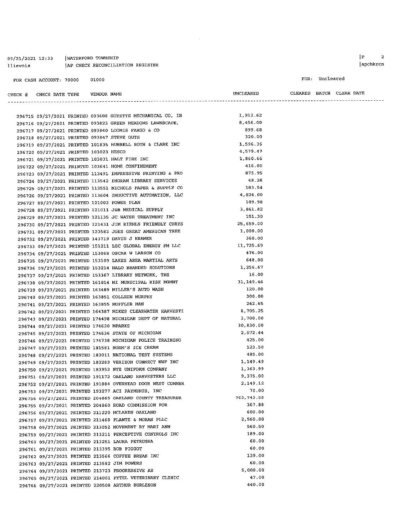#### 09/21/2021 12:33 | WATERFORD TOWNSHIP AP CHECK RECONCILIATION REGISTER llievois

FOR CASH ACCOUNT: 70000 01000

FOR: Uncleared

| CHECK # | CHECK DATE TYPE | VENDOR NAME |                                                              | UNCLEARED |  | CLEARED BATCH CLEAR-DATE |
|---------|-----------------|-------------|--------------------------------------------------------------|-----------|--|--------------------------|
|         |                 |             |                                                              |           |  |                          |
|         |                 |             | 296715 09/27/2021 PRINTED 093608 GOYETTE MECHANICAL CO, IN   | 1.912.62  |  |                          |
|         |                 |             | ARCELO AN CHILIANA I DRIVERED AGOGOO CRREW MEADOME IAWNECADE | 8.456.00  |  |                          |

|  |                                             |  | 296716 09/27/2021 PRINTED 093823 GREEN MEADOWS LAWNSCAPE,  | 8,456.00    |
|--|---------------------------------------------|--|------------------------------------------------------------|-------------|
|  |                                             |  | 296717 09/27/2021 PRINTED 093840 LOOMIS FARGO & CO         | 899.68      |
|  | 296718 09/27/2021 PRINTED 093847 STEVE GUTH |  |                                                            | 320.00      |
|  |                                             |  | 296719 09/27/2021 PRINTED 101835 HUBBELL ROTH & CLARK INC  | 1,596.36    |
|  | 296720 09/27/2021 PRINTED 103023 HESCO      |  |                                                            | 4,579.47    |
|  |                                             |  | 296721 09/27/2021 PRINTED 103031 HALT FIRE INC             | 1,860.66    |
|  |                                             |  | 296722 09/27/2021 PRINTED 103641 HOME CONFINEMENT          | 416.00      |
|  |                                             |  | 296723 09/27/2021 PRINTED 113491 IMPRESSIVE PRINTING & PRO | 875.95      |
|  |                                             |  | 296724 09/27/2021 PRINTED 113542 INGRAM LIBRARY SERVICES   | 48.28       |
|  |                                             |  | 296725 09/27/2021 PRINTED 113551 NICHOLS PAPER & SUPPLY CO | 183.54      |
|  |                                             |  | 296726 09/27/2021 PRINTED 113604 INDUCTIVE AUTOMATION, LLC | 4,024.00    |
|  | 296727 09/27/2021 PRINTED 121003 POWER PLAN |  |                                                            | 109.98      |
|  |                                             |  | 296728 09/27/2021 PRINTED 121011 J&B MEDICAL SUPPLY        | 3,861.82    |
|  |                                             |  | 296729 09/27/2021 PRINTED 121135 JC WATER TREATMENT INC    | 151.30      |
|  |                                             |  | 296730 09/27/2021 PRINTED 121431 JIM RIEHLS FRIENDLY CHRYS | 25,659.00   |
|  |                                             |  | 296731 09/27/2021 PRINTED 123583 JOES GREAT AMERICAN TREE  | 1,000.00    |
|  |                                             |  | 296732 09/27/2021 PRINTED 143719 DAVID J KRAMER            | 360.00      |
|  |                                             |  | 296733 09/27/2021 PRINTED 151211 LGC GLOBAL ENERGY FM LLC  | 11,725.69   |
|  |                                             |  | 296734 09/27/2021 PRINTED 153068 OSCAR W LARSON CO         | 476.00      |
|  |                                             |  | 296735 09/27/2021 PRINTED 153109 LAKES AREA MARTIAL ARTS   | 648.00      |
|  |                                             |  | 296736 09/27/2021 PRINTED 153214 HALO BRANDED SOLUTIONS    | 1,256.67    |
|  |                                             |  | 296737 09/27/2021 PRINTED 153367 LIBRARY NETWORK, THE      | 16.00       |
|  |                                             |  | 296738 09/27/2021 PRINTED 161014 MI MUNICIPAL RISK MGMNT   | 31, 149. 46 |
|  |                                             |  | 296739 09/27/2021 PRINTED 163489 MILLER'S AUTO WASH        | 120.00      |
|  |                                             |  | 296740 09/27/2021 PRINTED 163851 COLLEEN MURPHY            | 300.00      |
|  |                                             |  | 296741 09/27/2021 PRINTED 163855 MUFFLER MAN               | 242.65      |
|  |                                             |  | 296742 09/27/2021 PRINTED 164387 MIKES CLEARWATER HARVESTI | 8,705.25    |
|  |                                             |  | 296743 09/27/2021 PRINTED 174498 MICHIGAN DEPT OF NATURAL  | 3,700.00    |
|  | 296744 09/27/2021 PRINTED 174620 MPARKS     |  |                                                            | 30,830.00   |
|  |                                             |  | 296745 09/27/2021 PRINTED 174636 STATE OF MICHIGAN         | 2,572.44    |
|  |                                             |  | 296746 09/27/2021 PRINTED 174738 MICHIGAN POLICE TRAINING  | 425.00      |
|  |                                             |  | 296747 09/27/2021 PRINTED 181581 NORM'S ICE CREAM          | 123.50      |
|  |                                             |  | 296748 09/27/2021 PRINTED 183011 NATIONAL TEST SYSTEMS     | 485.00      |
|  |                                             |  | 296749 09/27/2021 PRINTED 183289 VERIZON CONNECT NWF INC   | 1,149.49    |
|  |                                             |  | 296750 09/27/2021 PRINTED 183952 NYE UNIFORM COMPANY       | 1,363.99    |
|  |                                             |  | 296751 09/27/2021 PRINTED 191172 OAKLAND HARVESTERS LLC    | 9,375.00    |
|  |                                             |  | 296752 09/27/2021 PRINTED 191884 OVERHEAD DOOR WEST COMMER | 2,149.12    |
|  |                                             |  | 296753 09/27/2021 PRINTED 193277 ACI PAYMENTS, INC         | 70.00       |
|  |                                             |  | 296754 09/27/2021 PRINTED 204665 OAKLAND COUNTY TREASURER  | 763, 743.58 |
|  |                                             |  | 296755 09/27/2021 PRINTED 204860 ROAD COMMISSION FOR       | 367.88      |
|  |                                             |  | 296756 09/27/2021 PRINTED 211220 MCLAREN OAKLAND           | 600.00      |
|  |                                             |  | 296757 09/27/2021 PRINTED 211460 PLANTE & MORAN PLLC       | 2,560.00    |
|  |                                             |  | 296758 09/27/2021 PRINTED 213052 MOVEMENT BY MARI ANN      | 560.50      |
|  |                                             |  | 296759 09/27/2021 PRINTED 213211 PERCEPTIVE CONTROLS INC   | 189.00      |
|  |                                             |  | 296760 09/27/2021 PRINTED 213251 LAURA PETRUSHA            | 60.00       |
|  |                                             |  | 296761 09/27/2021 PRINTED 213395 BOB PIGGOT                | 60.00       |
|  |                                             |  | 296762 09/27/2021 PRINTED 213566 COFFEE BREAK INC          | 139.00      |
|  |                                             |  | 296763 09/27/2021 PRINTED 213582 JIM POWERS                | 60.00       |
|  |                                             |  | 296764 09/27/2021 PRINTED 213723 PROGRESSIVE AE            | 5,000.00    |
|  |                                             |  | 296765 09/27/2021 PRINTED 214001 PYTEL VETERINARY CLINIC   | 47.00       |
|  |                                             |  | 296766 09/27/2021 PRINTED 220508 ARTHUR BURLESON           | 440.00      |
|  |                                             |  |                                                            |             |

 $\begin{bmatrix} P & 2 \end{bmatrix}$ apchkrcn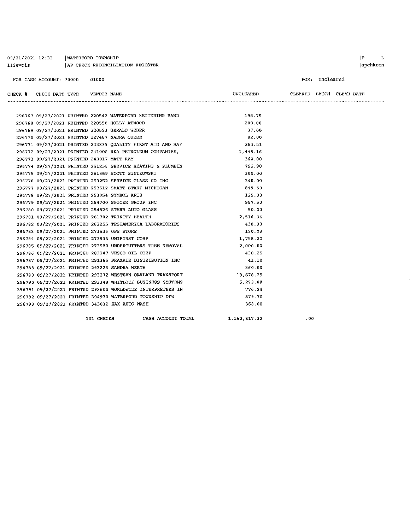| 09/21/2021 12:33 | WATERFORD TOWNSHIP               |
|------------------|----------------------------------|
| llievois         | AP CHECK RECONCILIATION REGISTER |

#### FOR CASH ACCOUNT: 70000 01000

#### FOR: Uncleared

| CHECK | TYPE<br>CHECK DATE | VENDOR NAME | UNCLEARED | CLEARED | BATCH | <b>CLEAR</b><br>DATE |
|-------|--------------------|-------------|-----------|---------|-------|----------------------|
|       |                    |             |           |         |       |                      |

|                                               |            | 296768 09/27/2021 PRINTED 220550 HOLLY ATWOOD              | 200.00       |  |
|-----------------------------------------------|------------|------------------------------------------------------------|--------------|--|
| 296769 09/27/2021 PRINTED 220593 GERALD WEBER |            |                                                            | 37.00        |  |
| 296770 09/27/2021 PRINTED 227487 NADRA QUEEN  |            |                                                            | 82.00        |  |
|                                               |            | 296771 09/27/2021 PRINTED 233839 QUALITY FIRST AID AND SAF | 263.51       |  |
|                                               |            | 296772 09/27/2021 PRINTED 241008 RKA PETROLEUM COMPANIES,  | 1,448.16     |  |
| 296773 09/27/2021 PRINTED 243017 MATT RAY     |            |                                                            | 360.00       |  |
|                                               |            | 296774 09/27/2021 PRINTED 251238 SERVICE HEATING & PLUMBIN | 755.90       |  |
|                                               |            | 296775 09/27/2021 PRINTED 251369 SCOTT SINTKOWSKI          | 300.00       |  |
|                                               |            | 296776 09/27/2021 PRINTED 253252 SERVICE GLASS CO INC      | 340.00       |  |
|                                               |            | 296777 09/27/2021 PRINTED 253512 SMART START MICHIGAN      | 849.50       |  |
| 296778 09/27/2021 PRINTED 253954 SYMBOL ARTS  |            |                                                            | 125.00       |  |
|                                               |            | 296779 09/27/2021 PRINTED 254700 SPICER GROUP INC          | 957.50       |  |
|                                               |            | 296780 09/27/2021 PRINTED 254826 STARR AUTO GLASS          | 50.00        |  |
|                                               |            | 296781 09/27/2021 PRINTED 261702 TRINITY HEALTH            | 2,516.34     |  |
|                                               |            | 296782 09/27/2021 PRINTED 263255 TESTAMERICA LABORATORIES  | 438.80       |  |
| 296783 09/27/2021 PRINTED 271536 UPS STORE    |            |                                                            | 190.03       |  |
|                                               |            | 296784 09/27/2021 PRINTED 273533 UNIFIRST CORP             | 1,758.20     |  |
|                                               |            | 296785 09/27/2021 PRINTED 273580 UNDERCUTTERS TREE REMOVAL | 2,000.00     |  |
|                                               |            | 296786 09/27/2021 PRINTED 283247 VESCO OIL CORP            | 438.25       |  |
|                                               |            | 296787 09/27/2021 PRINTED 291365 PRAXAIR DISTRIBUTION INC  | 41.10        |  |
| 296788 09/27/2021 PRINTED 293223 SANDRA WERTH |            |                                                            | 360.00       |  |
|                                               |            | 296789 09/27/2021 PRINTED 293272 WESTERN OAKLAND TRANSPORT | 13,678.25    |  |
|                                               |            | 296790 09/27/2021 PRINTED 293348 WHITLOCK BUSINESS SYSTEMS | 5,273.88     |  |
|                                               |            | 296791 09/27/2021 PRINTED 293605 WORLDWIDE INTERPRETERS IN | 776.24       |  |
|                                               |            | 296792 09/27/2021 PRINTED 304930 WATERFORD TOWNSHIP DPW    | 879.70       |  |
|                                               |            | 296793 09/27/2021 PRINTED 343012 ZAX AUTO WASH             | 368.00       |  |
|                                               | 131 CHECKS | CASH ACCOUNT TOTAL                                         | 1,162,817.32 |  |

 $.00$ 

 $\begin{array}{ccc} \mid P & \mid & 3 \end{array}$ |apchkrcn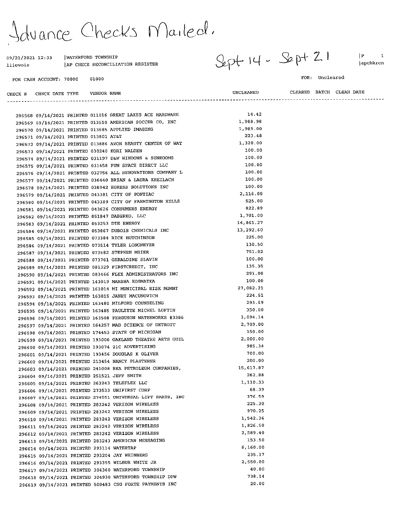fuance Checks Mailed.

WATERFORD TOWNSHIP

09/21/2021 12:33

| llievois                              | AP CHECK RECONCILIATION REGISTER                                                                              | $\mathcal{L}$    |                          | apchkrcn |
|---------------------------------------|---------------------------------------------------------------------------------------------------------------|------------------|--------------------------|----------|
| FOR CASH ACCOUNT: 70000               | 01000                                                                                                         |                  | FOR: Uncleared           |          |
| CHECK # CHECK DATE TYPE               | VENDOR NAME                                                                                                   | UNCLEARED        | CLEARED BATCH CLEAR DATE |          |
|                                       |                                                                                                               |                  |                          |          |
|                                       | 296568 09/14/2021 PRINTED 011016 GREAT LAKES ACE HARDWARE                                                     | 14.42            |                          |          |
|                                       | 296569 09/14/2021 PRINTED 013510 AMERICAN SOCCER CO, INC                                                      | 1,988.98         |                          |          |
|                                       | 296570 09/14/2021 PRINTED 013685 APPLIED IMAGING                                                              | 1,989.00         |                          |          |
| 296571 09/14/2021 PRINTED 013801 AT&T |                                                                                                               | 223.48           |                          |          |
|                                       | 296572 09/14/2021 PRINTED 013886 AVON BEAUTY CENTER OF WAT                                                    | 1,320.00         |                          |          |
|                                       | 296573 09/14/2021 PRINTED 030240 KORI WALDEN                                                                  | 100.00           |                          |          |
|                                       | 296574 09/14/2021 PRINTED 031197 D&W WINDOWS & SUNROOMS                                                       | 100.00           |                          |          |
|                                       | 296575 09/14/2021 PRINTED 031458 FUN SPACE DIRECT LLC                                                         | 100.00           |                          |          |
|                                       | 296576 09/14/2021 PRINTED 032756 ALL RENOVATIONS COMPANY L                                                    | 100.00           |                          |          |
|                                       | 296577 09/14/2021 PRINTED 036440 BRIAN & LAURA KREILACH                                                       | 100.00           |                          |          |
|                                       | 296578 09/14/2021 PRINTED 038942 EGRESS SOLUTIONS INC                                                         | 100.00           |                          |          |
|                                       | 296579 09/14/2021 PRINTED 043381 CITY OF PONTIAC                                                              | 2,116.00         |                          |          |
|                                       | 296580 09/14/2021 PRINTED 043389 CITY OF FARMINGTON HILLS                                                     | 525.00           |                          |          |
|                                       | 296581 09/14/2021 PRINTED 043626 CONSUMERS ENERGY                                                             | 822.89           |                          |          |
|                                       | 296582 09/14/2021 PRINTED 051847 DABERKO, LLC                                                                 | 1,701.00         |                          |          |
|                                       | 296583 09/14/2021 PRINTED 053253 DTE ENERGY                                                                   | 14,861.27        |                          |          |
|                                       | 296584 09/14/2021 PRINTED 053867 DUBOIS CHEMICALS INC                                                         | 13,292.60        |                          |          |
|                                       | 296585 09/14/2021 PRINTED 073384 RICK HUTCHINSON                                                              | 225.00           |                          |          |
|                                       | 296586 09/14/2021 PRINTED 073514 TYLER LONGMEYER                                                              | 130.50<br>751.02 |                          |          |
|                                       | 296587 09/14/2021 PRINTED 073582 STEPHEN MEIER                                                                |                  |                          |          |
|                                       | 296588 09/14/2021 PRINTED 073761 GERALDINE SLAVIN                                                             | 100.00<br>135.35 |                          |          |
|                                       | 296589 09/14/2021 PRINTED 081329 FIRSTCREDIT, INC                                                             | 291.00           |                          |          |
|                                       | 296590 09/14/2021 PRINTED 083466 FLEX ADMINISTRATORS INC                                                      | 100.00           |                          |          |
|                                       | 296591 09/14/2021 PRINTED 143019 MARSHA KOSMATKA                                                              | 27,082.21        |                          |          |
|                                       | 296592 09/14/2021 PRINTED 161014 MI MUNICIPAL RISK MGMNT                                                      | 224.51           |                          |          |
|                                       | 296593 09/14/2021 PRINTED 163015 JANET MACUNOVICH                                                             | 293.69           |                          |          |
|                                       | 296594 09/14/2021 PRINTED 163480 MILFORD COUNSELING                                                           | 350.00           |                          |          |
|                                       | 296595 09/14/2021 PRINTED 163485 PAULETTE MICHEL LOFTIN                                                       | 3,094.14         |                          |          |
|                                       | 296596 09/14/2021 PRINTED 163508 FERGUSON WATERWORKS #3386                                                    | 2,709.00         |                          |          |
|                                       | 296597 09/14/2021 PRINTED 164257 MAD SCIENCE OF DETROIT<br>296598 09/14/2021 PRINTED 174453 STATE OF MICHIGAN | 150.00           |                          |          |
|                                       | 296599 09/14/2021 PRINTED 193006 OAKLAND THEATRE ARTS GUIL                                                    | 2,000.00         |                          |          |
|                                       | 296600 09/14/2021 PRINTED 193074 21C ADVERTISING                                                              | 985.34           |                          |          |
|                                       | 296601 09/14/2021 PRINTED 193456 DOUGLAS K OLIVER                                                             | 700.00           |                          |          |
|                                       | 296602 09/14/2021 PRINTED 213454 NANCY PLASTERER                                                              | 200.00           |                          |          |
|                                       | 296603 09/14/2021 PRINTED 241008 RKA PETROLEUM COMPANIES,                                                     | 15,617.87        |                          |          |
|                                       | 296604 09/14/2021 PRINTED 251521 JEFF SMITH                                                                   | 262.88           |                          |          |
|                                       | 296605 09/14/2021 PRINTED 263243 TELEFLEX LLC                                                                 | 1,110.33         |                          |          |
|                                       | 296606 09/14/2021 PRINTED 273533 UNIFIRST CORP                                                                | 68.39            |                          |          |
|                                       | 296607 09/14/2021 PRINTED 274551 UNIVERSAL LIFT PARTS, INC                                                    | 376.59           |                          |          |
|                                       | 296608 09/14/2021 PRINTED 283242 VERIZON WIRELESS                                                             | 225.30           |                          |          |
|                                       | 296609 09/14/2021 PRINTED 283242 VERIZON WIRELESS                                                             | 970.25           |                          |          |
|                                       | 296610 09/14/2021 PRINTED 283242 VERIZON WIRELESS                                                             | 1,542.36         |                          |          |
|                                       | 296611 09/14/2021 PRINTED 283242 VERIZON WIRELESS                                                             | 1,826.50         |                          |          |
|                                       | 296612 09/14/2021 PRINTED 283242 VERIZON WIRELESS                                                             | 2,589.40         |                          |          |
|                                       |                                                                                                               |                  |                          |          |

296613 09/14/2021 PRINTED 283243 AMERICAN MESSAGING

296614 09/14/2021 PRINTED 293114 WATERTAP

296615 09/14/2021 PRINTED 293204 JAY WEINBERG

296616 09/14/2021 PRINTED 293355 WILBUR WHITE JR 296617 09/14/2021 PRINTED 304360 WATERFORD TOWNSHIP

296618 09/14/2021 PRINTED 304930 WATERFORD TOWNSHIP DPW

296619 09/14/2021 PRINTED 500483 CSG FORTE PAYMENTS INC

 $S$ ept  $14 - Spf 21$ 

153.50

235.17

40.00

738.14

20.00

6,160.00

2,550.00

 $|P|$  $\mathbf{1}$ apchkrcn

#### FOR: Uncleared